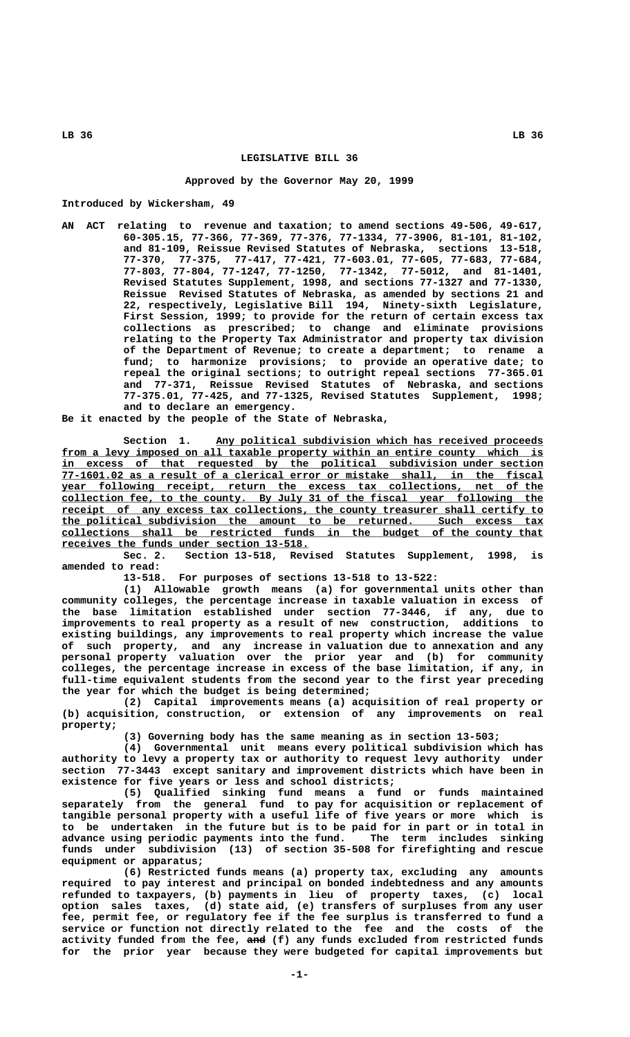## **LEGISLATIVE BILL 36**

## **Approved by the Governor May 20, 1999**

**Introduced by Wickersham, 49**

**AN ACT relating to revenue and taxation; to amend sections 49-506, 49-617, 60-305.15, 77-366, 77-369, 77-376, 77-1334, 77-3906, 81-101, 81-102, and 81-109, Reissue Revised Statutes of Nebraska, sections 13-518, 77-370, 77-375, 77-417, 77-421, 77-603.01, 77-605, 77-683, 77-684, 77-803, 77-804, 77-1247, 77-1250, 77-1342, 77-5012, and 81-1401, Revised Statutes Supplement, 1998, and sections 77-1327 and 77-1330, Reissue Revised Statutes of Nebraska, as amended by sections 21 and 22, respectively, Legislative Bill 194, Ninety-sixth Legislature, First Session, 1999; to provide for the return of certain excess tax collections as prescribed; to change and eliminate provisions relating to the Property Tax Administrator and property tax division of the Department of Revenue; to create a department; to rename a fund; to harmonize provisions; to provide an operative date; to repeal the original sections; to outright repeal sections 77-365.01 and 77-371, Reissue Revised Statutes of Nebraska, and sections 77-375.01, 77-425, and 77-1325, Revised Statutes Supplement, 1998; and to declare an emergency.**

**Be it enacted by the people of the State of Nebraska,**

Section 1. Any political subdivision which has received proceeds from a levy imposed on all taxable property within an entire county which is  **\_\_\_\_\_\_\_\_\_\_\_\_\_\_\_\_\_\_\_\_\_\_\_\_\_\_\_\_\_\_\_\_\_\_\_\_\_\_\_\_\_\_\_\_\_\_\_\_\_\_\_\_\_\_\_\_\_\_\_\_\_\_\_\_\_\_\_\_\_\_\_\_\_\_\_\_\_\_ in excess of that requested by the political subdivision under section \_\_\_\_\_\_\_\_\_\_\_\_\_\_\_\_\_\_\_\_\_\_\_\_\_\_\_\_\_\_\_\_\_\_\_\_\_\_\_\_\_\_\_\_\_\_\_\_\_\_\_\_\_\_\_\_\_\_\_\_\_\_\_\_\_\_\_\_\_\_\_\_\_\_\_\_\_\_ 77-1601.02 as a result of a clerical error or mistake shall, in the fiscal \_\_\_\_\_\_\_\_\_\_\_\_\_\_\_\_\_\_\_\_\_\_\_\_\_\_\_\_\_\_\_\_\_\_\_\_\_\_\_\_\_\_\_\_\_\_\_\_\_\_\_\_\_\_\_\_\_\_\_\_\_\_\_\_\_\_\_\_\_\_\_\_\_\_\_\_\_\_ year following receipt, return the excess tax collections, net of the \_\_\_\_\_\_\_\_\_\_\_\_\_\_\_\_\_\_\_\_\_\_\_\_\_\_\_\_\_\_\_\_\_\_\_\_\_\_\_\_\_\_\_\_\_\_\_\_\_\_\_\_\_\_\_\_\_\_\_\_\_\_\_\_\_\_\_\_\_\_\_\_\_\_\_\_\_\_ collection fee, to the county. By July 31 of the fiscal year following the \_\_\_\_\_\_\_\_\_\_\_\_\_\_\_\_\_\_\_\_\_\_\_\_\_\_\_\_\_\_\_\_\_\_\_\_\_\_\_\_\_\_\_\_\_\_\_\_\_\_\_\_\_\_\_\_\_\_\_\_\_\_\_\_\_\_\_\_\_\_\_\_\_\_\_\_\_\_ receipt of any excess tax collections, the county treasurer shall certify to \_\_\_\_\_\_\_\_\_\_\_\_\_\_\_\_\_\_\_\_\_\_\_\_\_\_\_\_\_\_\_\_\_\_\_\_\_\_\_\_\_\_\_\_\_\_\_\_\_\_\_\_\_\_\_\_\_\_\_\_\_\_\_\_\_\_\_\_\_\_\_\_\_\_\_\_\_\_ the political subdivision the amount to be returned. Such excess tax \_\_\_\_\_\_\_\_\_\_\_\_\_\_\_\_\_\_\_\_\_\_\_\_\_\_\_\_\_\_\_\_\_\_\_\_\_\_\_\_\_\_\_\_\_\_\_\_\_\_\_\_\_\_\_\_\_\_\_\_\_\_\_\_\_\_\_\_\_\_\_\_\_\_\_\_\_\_ collections shall be restricted funds in the budget of the county that \_\_\_\_\_\_\_\_\_\_\_\_\_\_\_\_\_\_\_\_\_\_\_\_\_\_\_\_\_\_\_\_\_\_\_\_\_\_\_\_ receives the funds under section 13-518.**

> **Sec. 2. Section 13-518, Revised Statutes Supplement, 1998, is amended to read:**

**13-518. For purposes of sections 13-518 to 13-522:**

**(1) Allowable growth means (a) for governmental units other than community colleges, the percentage increase in taxable valuation in excess of the base limitation established under section 77-3446, if any, due to improvements to real property as a result of new construction, additions to existing buildings, any improvements to real property which increase the value of such property, and any increase in valuation due to annexation and any personal property valuation over the prior year and (b) for community colleges, the percentage increase in excess of the base limitation, if any, in full-time equivalent students from the second year to the first year preceding the year for which the budget is being determined;**

**(2) Capital improvements means (a) acquisition of real property or (b) acquisition, construction, or extension of any improvements on real property;**

**(3) Governing body has the same meaning as in section 13-503;**

**(4) Governmental unit means every political subdivision which has authority to levy a property tax or authority to request levy authority under section 77-3443 except sanitary and improvement districts which have been in existence for five years or less and school districts;**

**(5) Qualified sinking fund means a fund or funds maintained separately from the general fund to pay for acquisition or replacement of tangible personal property with a useful life of five years or more which is to be undertaken in the future but is to be paid for in part or in total in advance using periodic payments into the fund. The term includes sinking funds under subdivision (13) of section 35-508 for firefighting and rescue equipment or apparatus;**

**(6) Restricted funds means (a) property tax, excluding any amounts required to pay interest and principal on bonded indebtedness and any amounts refunded to taxpayers, (b) payments in lieu of property taxes, (c) local option sales taxes, (d) state aid, (e) transfers of surpluses from any user fee, permit fee, or regulatory fee if the fee surplus is transferred to fund a service or function not directly related to the fee and the costs of the** activity funded from the fee, and (f) any funds excluded from restricted funds **for the prior year because they were budgeted for capital improvements but**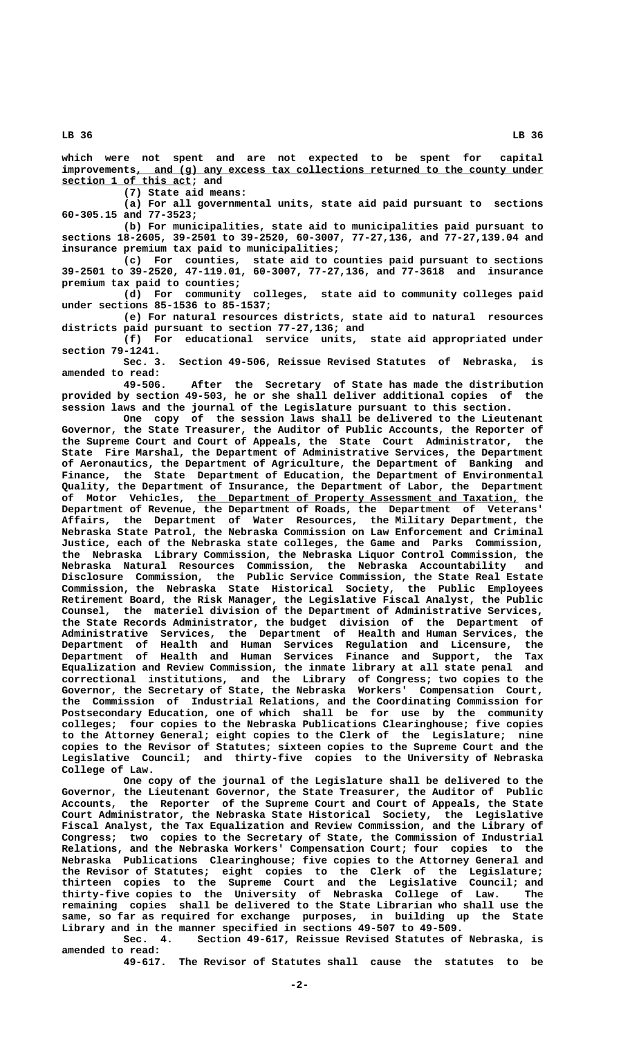**which were not spent and are not expected to be spent for capital** improvements, and (g) any excess tax collections returned to the county under  **\_\_\_\_\_\_\_\_\_\_\_\_\_\_\_\_\_\_\_\_\_ section 1 of this act; and**

**(7) State aid means:**

**(a) For all governmental units, state aid paid pursuant to sections 60-305.15 and 77-3523;**

**(b) For municipalities, state aid to municipalities paid pursuant to sections 18-2605, 39-2501 to 39-2520, 60-3007, 77-27,136, and 77-27,139.04 and insurance premium tax paid to municipalities;**

**(c) For counties, state aid to counties paid pursuant to sections 39-2501 to 39-2520, 47-119.01, 60-3007, 77-27,136, and 77-3618 and insurance premium tax paid to counties;**

**(d) For community colleges, state aid to community colleges paid under sections 85-1536 to 85-1537;**

**(e) For natural resources districts, state aid to natural resources districts paid pursuant to section 77-27,136; and**

**(f) For educational service units, state aid appropriated under section 79-1241.**

**Sec. 3. Section 49-506, Reissue Revised Statutes of Nebraska, is amended to read:**

**49-506. After the Secretary of State has made the distribution provided by section 49-503, he or she shall deliver additional copies of the session laws and the journal of the Legislature pursuant to this section.**

**One copy of the session laws shall be delivered to the Lieutenant Governor, the State Treasurer, the Auditor of Public Accounts, the Reporter of the Supreme Court and Court of Appeals, the State Court Administrator, the State Fire Marshal, the Department of Administrative Services, the Department of Aeronautics, the Department of Agriculture, the Department of Banking and Finance, the State Department of Education, the Department of Environmental Quality, the Department of Insurance, the Department of Labor, the Department \_\_\_\_\_\_\_\_\_\_\_\_\_\_\_\_\_\_\_\_\_\_\_\_\_\_\_\_\_\_\_\_\_\_\_\_\_\_\_\_\_\_\_\_\_\_\_\_\_\_\_\_ of Motor Vehicles, the Department of Property Assessment and Taxation, the Department of Revenue, the Department of Roads, the Department of Veterans' Affairs, the Department of Water Resources, the Military Department, the Nebraska State Patrol, the Nebraska Commission on Law Enforcement and Criminal Justice, each of the Nebraska state colleges, the Game and Parks Commission, the Nebraska Library Commission, the Nebraska Liquor Control Commission, the Nebraska Natural Resources Commission, the Nebraska Accountability and Disclosure Commission, the Public Service Commission, the State Real Estate Commission, the Nebraska State Historical Society, the Public Employees Retirement Board, the Risk Manager, the Legislative Fiscal Analyst, the Public Counsel, the materiel division of the Department of Administrative Services, the State Records Administrator, the budget division of the Department of Administrative Services, the Department of Health and Human Services, the Department of Health and Human Services Regulation and Licensure, the Department of Health and Human Services Finance and Support, the Tax Equalization and Review Commission, the inmate library at all state penal and correctional institutions, and the Library of Congress; two copies to the Governor, the Secretary of State, the Nebraska Workers' Compensation Court, the Commission of Industrial Relations, and the Coordinating Commission for Postsecondary Education, one of which shall be for use by the community colleges; four copies to the Nebraska Publications Clearinghouse; five copies to the Attorney General; eight copies to the Clerk of the Legislature; nine copies to the Revisor of Statutes; sixteen copies to the Supreme Court and the Legislative Council; and thirty-five copies to the University of Nebraska College of Law.**

**One copy of the journal of the Legislature shall be delivered to the Governor, the Lieutenant Governor, the State Treasurer, the Auditor of Public Accounts, the Reporter of the Supreme Court and Court of Appeals, the State Court Administrator, the Nebraska State Historical Society, the Legislative Fiscal Analyst, the Tax Equalization and Review Commission, and the Library of Congress; two copies to the Secretary of State, the Commission of Industrial Relations, and the Nebraska Workers' Compensation Court; four copies to the Nebraska Publications Clearinghouse; five copies to the Attorney General and the Revisor of Statutes; eight copies to the Clerk of the Legislature; thirteen copies to the Supreme Court and the Legislative Council; and thirty-five copies to the University of Nebraska College of Law. The remaining copies shall be delivered to the State Librarian who shall use the same, so far as required for exchange purposes, in building up the State Library and in the manner specified in sections 49-507 to 49-509.**

**Sec. 4. Section 49-617, Reissue Revised Statutes of Nebraska, is amended to read:**

**49-617. The Revisor of Statutes shall cause the statutes to be**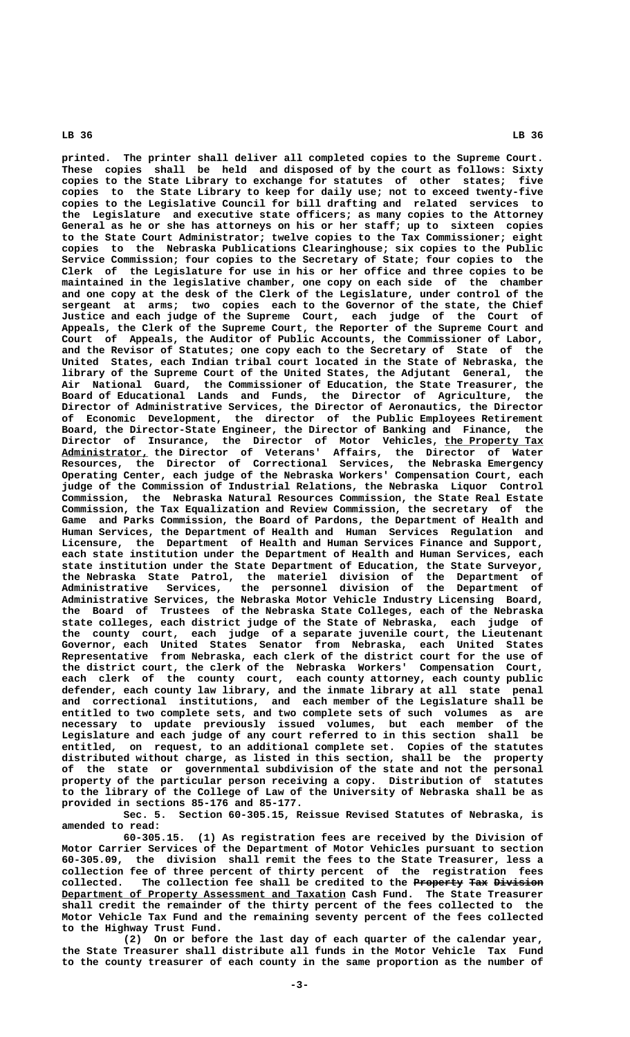**printed. The printer shall deliver all completed copies to the Supreme Court. These copies shall be held and disposed of by the court as follows: Sixty copies to the State Library to exchange for statutes of other states; five copies to the State Library to keep for daily use; not to exceed twenty-five copies to the Legislative Council for bill drafting and related services to the Legislature and executive state officers; as many copies to the Attorney General as he or she has attorneys on his or her staff; up to sixteen copies to the State Court Administrator; twelve copies to the Tax Commissioner; eight copies to the Nebraska Publications Clearinghouse; six copies to the Public Service Commission; four copies to the Secretary of State; four copies to the Clerk of the Legislature for use in his or her office and three copies to be maintained in the legislative chamber, one copy on each side of the chamber and one copy at the desk of the Clerk of the Legislature, under control of the sergeant at arms; two copies each to the Governor of the state, the Chief Justice and each judge of the Supreme Court, each judge of the Court of Appeals, the Clerk of the Supreme Court, the Reporter of the Supreme Court and Court of Appeals, the Auditor of Public Accounts, the Commissioner of Labor, and the Revisor of Statutes; one copy each to the Secretary of State of the United States, each Indian tribal court located in the State of Nebraska, the library of the Supreme Court of the United States, the Adjutant General, the Air National Guard, the Commissioner of Education, the State Treasurer, the Board of Educational Lands and Funds, the Director of Agriculture, the Director of Administrative Services, the Director of Aeronautics, the Director of Economic Development, the director of the Public Employees Retirement Board, the Director-State Engineer, the Director of Banking and Finance, the** Director of Insurance, the Director of Motor Vehicles, the Property Tax  **\_\_\_\_\_\_\_\_\_\_\_\_\_\_ Administrator, the Director of Veterans' Affairs, the Director of Water Resources, the Director of Correctional Services, the Nebraska Emergency Operating Center, each judge of the Nebraska Workers' Compensation Court, each judge of the Commission of Industrial Relations, the Nebraska Liquor Control Commission, the Nebraska Natural Resources Commission, the State Real Estate Commission, the Tax Equalization and Review Commission, the secretary of the Game and Parks Commission, the Board of Pardons, the Department of Health and Human Services, the Department of Health and Human Services Regulation and Licensure, the Department of Health and Human Services Finance and Support, each state institution under the Department of Health and Human Services, each state institution under the State Department of Education, the State Surveyor, the Nebraska State Patrol, the materiel division of the Department of Administrative Services, the personnel division of the Department of Administrative Services, the Nebraska Motor Vehicle Industry Licensing Board, the Board of Trustees of the Nebraska State Colleges, each of the Nebraska state colleges, each district judge of the State of Nebraska, each judge of the county court, each judge of a separate juvenile court, the Lieutenant Governor, each United States Senator from Nebraska, each United States Representative from Nebraska, each clerk of the district court for the use of the district court, the clerk of the Nebraska Workers' Compensation Court, each clerk of the county court, each county attorney, each county public defender, each county law library, and the inmate library at all state penal and correctional institutions, and each member of the Legislature shall be entitled to two complete sets, and two complete sets of such volumes as are necessary to update previously issued volumes, but each member of the Legislature and each judge of any court referred to in this section shall be entitled, on request, to an additional complete set. Copies of the statutes distributed without charge, as listed in this section, shall be the property of the state or governmental subdivision of the state and not the personal property of the particular person receiving a copy. Distribution of statutes to the library of the College of Law of the University of Nebraska shall be as provided in sections 85-176 and 85-177.**

**Sec. 5. Section 60-305.15, Reissue Revised Statutes of Nebraska, is amended to read:**

**60-305.15. (1) As registration fees are received by the Division of Motor Carrier Services of the Department of Motor Vehicles pursuant to section 60-305.09, the division shall remit the fees to the State Treasurer, less a collection fee of three percent of thirty percent of the registration fees** collected. The collection fee shall be credited to the Property Tax Division **Department of Property Assessment and Taxation Cash Fund. The State Treasurer shall credit the remainder of the thirty percent of the fees collected to the Motor Vehicle Tax Fund and the remaining seventy percent of the fees collected to the Highway Trust Fund.**

**(2) On or before the last day of each quarter of the calendar year, the State Treasurer shall distribute all funds in the Motor Vehicle Tax Fund to the county treasurer of each county in the same proportion as the number of**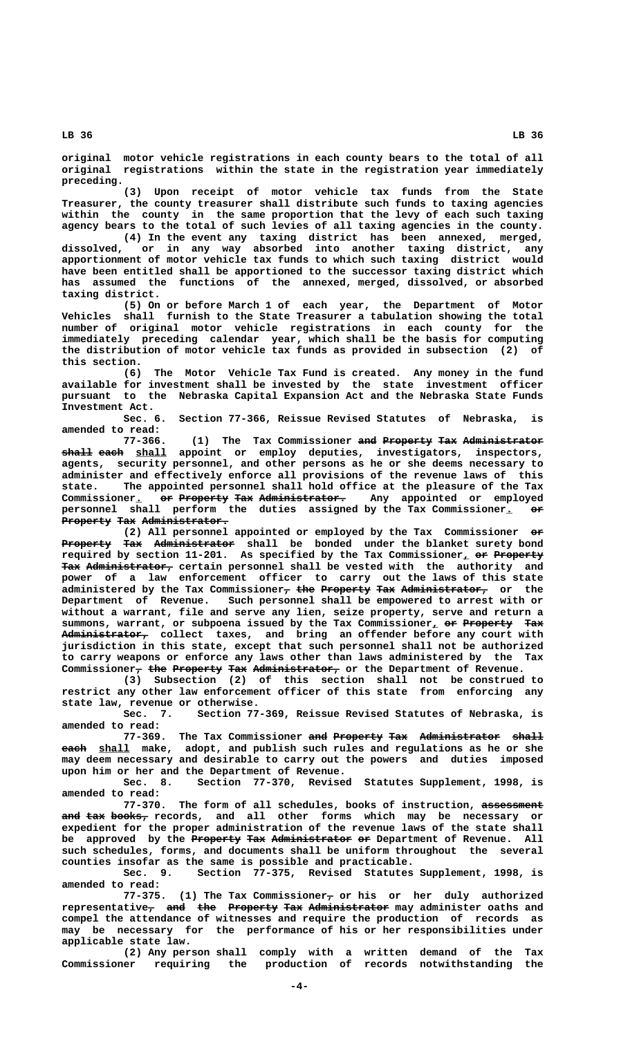**original motor vehicle registrations in each county bears to the total of all original registrations within the state in the registration year immediately preceding.**

**(3) Upon receipt of motor vehicle tax funds from the State Treasurer, the county treasurer shall distribute such funds to taxing agencies within the county in the same proportion that the levy of each such taxing agency bears to the total of such levies of all taxing agencies in the county.**

**(4) In the event any taxing district has been annexed, merged, dissolved, or in any way absorbed into another taxing district, any apportionment of motor vehicle tax funds to which such taxing district would have been entitled shall be apportioned to the successor taxing district which has assumed the functions of the annexed, merged, dissolved, or absorbed taxing district.**

**(5) On or before March 1 of each year, the Department of Motor Vehicles shall furnish to the State Treasurer a tabulation showing the total number of original motor vehicle registrations in each county for the immediately preceding calendar year, which shall be the basis for computing the distribution of motor vehicle tax funds as provided in subsection (2) of this section.**

**(6) The Motor Vehicle Tax Fund is created. Any money in the fund available for investment shall be invested by the state investment officer pursuant to the Nebraska Capital Expansion Act and the Nebraska State Funds Investment Act.**

**Sec. 6. Section 77-366, Reissue Revised Statutes of Nebraska, is amended to read:**

77-366. (1) The Tax Commissioner and Property Tax Administrator  **————— ———— \_\_\_\_\_ shall each shall appoint or employ deputies, investigators, inspectors, agents, security personnel, and other persons as he or she deems necessary to administer and effectively enforce all provisions of the revenue laws of this state. The appointed personnel shall hold office at the pleasure of the Tax Commissioner. or Property Tax Administrator. Any appointed or employed \_ —— ———————— ——— ————————————— personnel shall perform the duties assigned by the Tax Commissioner. or \_ —— Property Tax Administrator.** 

(2) All personnel appointed or employed by the Tax Commissioner  $\Theta$ **r Property Tax Administrator shall be bonded under the blanket surety bond ———————— ——— ———————————— required by section 11-201. As specified by the Tax Commissioner, or Property \_ —— ———————— ——— —————————————— Tax Administrator, certain personnel shall be vested with the authority and power of a law enforcement officer to carry out the laws of this state administered by the Tax Commissioner<del>, the Property</del> Tax Administrator, or the Department of Revenue. Such personnel shall be empowered to arrest with or without a warrant, file and serve any lien, seize property, serve and return a** summons, warrant, or subpoena issued by the Tax Commissioner<sub>1</sub> or Property Tax  **—————————————— Administrator, collect taxes, and bring an offender before any court with jurisdiction in this state, except that such personnel shall not be authorized to carry weapons or enforce any laws other than laws administered by the Tax** Commissioner<sub>7</sub> the Property Tax Administrator, or the Department of Revenue.

**(3) Subsection (2) of this section shall not be construed to restrict any other law enforcement officer of this state from enforcing any state law, revenue or otherwise.**

**Sec. 7. Section 77-369, Reissue Revised Statutes of Nebraska, is amended to read:**

77-369. The Tax Commissioner and Property Tax Administrator shall  **———— \_\_\_\_\_ each shall make, adopt, and publish such rules and regulations as he or she may deem necessary and desirable to carry out the powers and duties imposed upon him or her and the Department of Revenue.**

**Sec. 8. Section 77-370, Revised Statutes Supplement, 1998, is amended to read:**

**77-370. The form of all schedules, books of instruction, assessment —————————** and tax books, records, and all other forms which may be necessary or **expedient for the proper administration of the revenue laws of the state shall** be approved by the Property Tax Administrator or Department of Revenue. All **such schedules, forms, and documents shall be uniform throughout the several counties insofar as the same is possible and practicable.**

**Sec. 9. Section 77-375, Revised Statutes Supplement, 1998, is amended to read:**

 **— 77-375. (1) The Tax Commissioner, or his or her duly authorized**  $r$  representative<sub> $\tau$ </sub> and the Property Tax Administer may administer oaths and **compel the attendance of witnesses and require the production of records as may be necessary for the performance of his or her responsibilities under applicable state law.**

**(2) Any person shall comply with a written demand of the Tax Commissioner requiring the production of records notwithstanding the**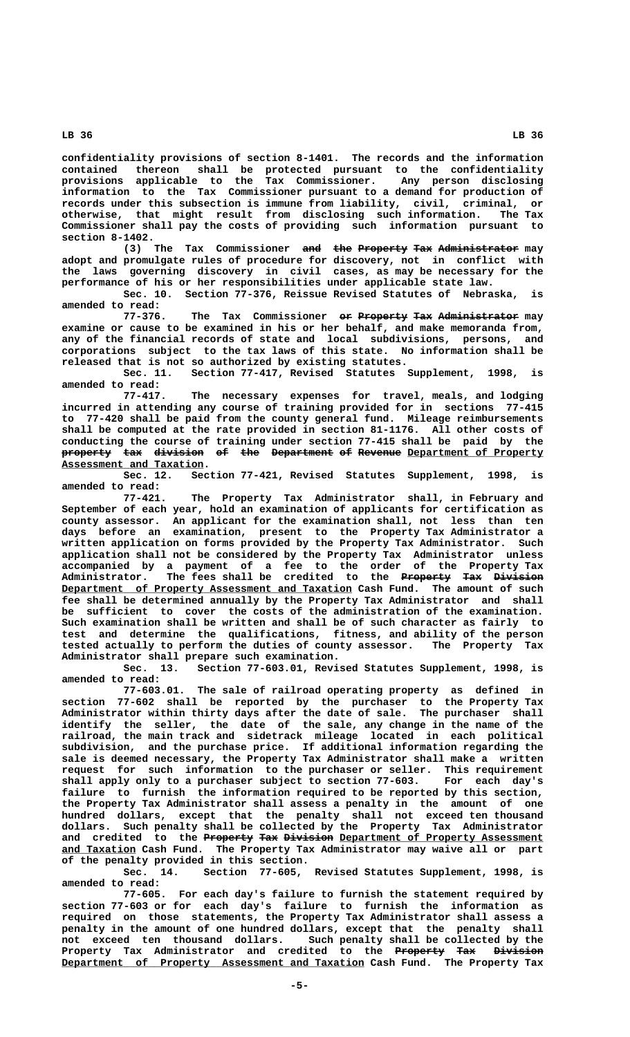**confidentiality provisions of section 8-1401. The records and the information contained thereon shall be protected pursuant to the confidentiality provisions applicable to the Tax Commissioner. Any person disclosing information to the Tax Commissioner pursuant to a demand for production of records under this subsection is immune from liability, civil, criminal, or otherwise, that might result from disclosing such information. The Tax Commissioner shall pay the costs of providing such information pursuant to section 8-1402.**

**(3) The Tax Commissioner <del>and the Property Tax Administrator</del> may adopt and promulgate rules of procedure for discovery, not in conflict with the laws governing discovery in civil cases, as may be necessary for the performance of his or her responsibilities under applicable state law.**

Sec. 10. Section 77-376, Reissue Revised Statutes of Nebraska, **amended to read:**

The Tax Commissioner or Property Tax Administrator may **examine or cause to be examined in his or her behalf, and make memoranda from, any of the financial records of state and local subdivisions, persons, and corporations subject to the tax laws of this state. No information shall be released that is not so authorized by existing statutes.**

**Sec. 11. Section 77-417, Revised Statutes Supplement, 1998, is amended to read:**

**77-417. The necessary expenses for travel, meals, and lodging incurred in attending any course of training provided for in sections 77-415 to 77-420 shall be paid from the county general fund. Mileage reimbursements shall be computed at the rate provided in section 81-1176. All other costs of conducting the course of training under section 77-415 shall be paid by the property** tax division of the Department of Revenue Department of Property  **\_\_\_\_\_\_\_\_\_\_\_\_\_\_\_\_\_\_\_\_\_\_\_ Assessment and Taxation.**

**Sec. 12. Section 77-421, Revised Statutes Supplement, 1998, is amended to read:**

The Property Tax Administrator shall, in February and **September of each year, hold an examination of applicants for certification as county assessor. An applicant for the examination shall, not less than ten days before an examination, present to the Property Tax Administrator a written application on forms provided by the Property Tax Administrator. Such application shall not be considered by the Property Tax Administrator unless accompanied by a payment of a fee to the order of the Property Tax Administrator. The fees shall be credited to the Property Tax Division ———————— ——— ———————— \_\_\_\_\_\_\_\_\_\_\_\_\_\_\_\_\_\_\_\_\_\_\_\_\_\_\_\_\_\_\_\_\_\_\_\_\_\_\_\_\_\_\_\_\_\_\_ Department of Property Assessment and Taxation Cash Fund. The amount of such fee shall be determined annually by the Property Tax Administrator and shall be sufficient to cover the costs of the administration of the examination. Such examination shall be written and shall be of such character as fairly to test and determine the qualifications, fitness, and ability of the person tested actually to perform the duties of county assessor. The Property Tax Administrator shall prepare such examination.**

**Sec. 13. Section 77-603.01, Revised Statutes Supplement, 1998, is amended to read:**

**77-603.01. The sale of railroad operating property as defined in section 77-602 shall be reported by the purchaser to the Property Tax Administrator within thirty days after the date of sale. The purchaser shall identify the seller, the date of the sale, any change in the name of the railroad, the main track and sidetrack mileage located in each political subdivision, and the purchase price. If additional information regarding the sale is deemed necessary, the Property Tax Administrator shall make a written request for such information to the purchaser or seller. This requirement shall apply only to a purchaser subject to section 77-603. For each day's failure to furnish the information required to be reported by this section, the Property Tax Administrator shall assess a penalty in the amount of one hundred dollars, except that the penalty shall not exceed ten thousand dollars. Such penalty shall be collected by the Property Tax Administrator** and credited to the Property Tax Division Department of Property Assessment  **\_\_\_\_\_\_\_\_\_\_\_\_ and Taxation Cash Fund. The Property Tax Administrator may waive all or part of the penalty provided in this section.**

**Sec. 14. Section 77-605, Revised Statutes Supplement, 1998, is amended to read:**

**77-605. For each day's failure to furnish the statement required by section 77-603 or for each day's failure to furnish the information as required on those statements, the Property Tax Administrator shall assess a penalty in the amount of one hundred dollars, except that the penalty shall not exceed ten thousand dollars. Such penalty shall be collected by the** Property Tax Administrator and credited to the Property Tax Division  **\_\_\_\_\_\_\_\_\_\_\_\_\_\_\_\_\_\_\_\_\_\_\_\_\_\_\_\_\_\_\_\_\_\_\_\_\_\_\_\_\_\_\_\_\_\_\_\_\_ Department of Property Assessment and Taxation Cash Fund. The Property Tax**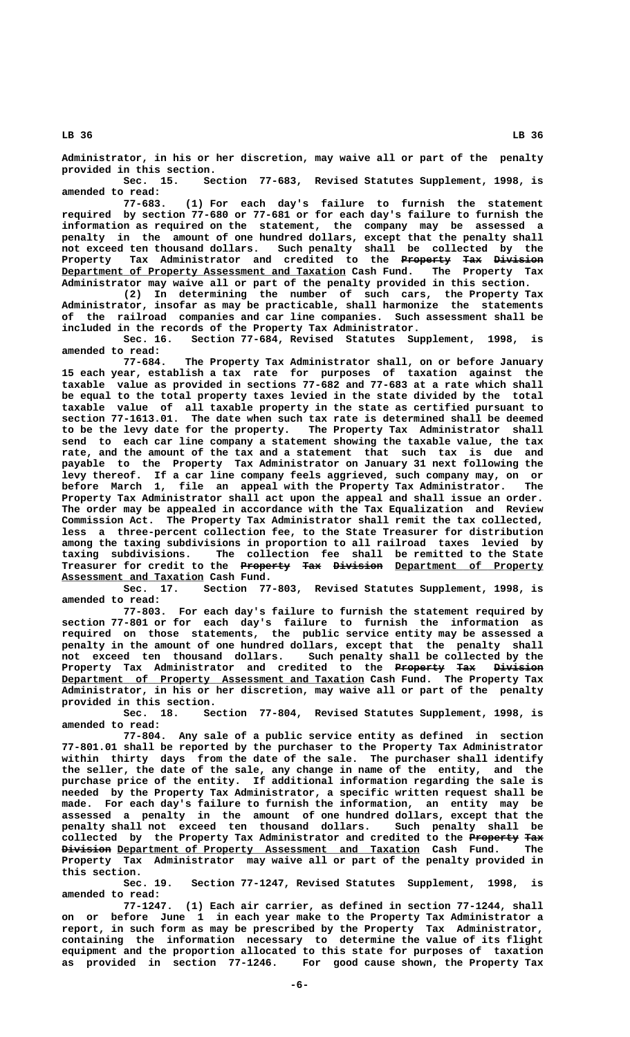**Administrator, in his or her discretion, may waive all or part of the penalty provided in this section.**

**Sec. 15. Section 77-683, Revised Statutes Supplement, 1998, is amended to read:**

**77-683. (1) For each day's failure to furnish the statement required by section 77-680 or 77-681 or for each day's failure to furnish the information as required on the statement, the company may be assessed a penalty in the amount of one hundred dollars, except that the penalty shall not exceed ten thousand dollars. Such penalty shall be collected by the Property Tax Administrator and credited to the Property Tax Division ———————— ——— ———————— Department of Property Assessment and Taxation Cash Fund. The Property Tax Administrator may waive all or part of the penalty provided in this section.**

**(2) In determining the number of such cars, the Property Tax Administrator, insofar as may be practicable, shall harmonize the statements of the railroad companies and car line companies. Such assessment shall be included in the records of the Property Tax Administrator.**

**Sec. 16. Section 77-684, Revised Statutes Supplement, 1998, is amended to read:**

**77-684. The Property Tax Administrator shall, on or before January 15 each year, establish a tax rate for purposes of taxation against the taxable value as provided in sections 77-682 and 77-683 at a rate which shall be equal to the total property taxes levied in the state divided by the total taxable value of all taxable property in the state as certified pursuant to section 77-1613.01. The date when such tax rate is determined shall be deemed to be the levy date for the property. The Property Tax Administrator shall send to each car line company a statement showing the taxable value, the tax rate, and the amount of the tax and a statement that such tax is due and payable to the Property Tax Administrator on January 31 next following the levy thereof. If a car line company feels aggrieved, such company may, on or before March 1, file an appeal with the Property Tax Administrator. The Property Tax Administrator shall act upon the appeal and shall issue an order. The order may be appealed in accordance with the Tax Equalization and Review Commission Act. The Property Tax Administrator shall remit the tax collected, less a three-percent collection fee, to the State Treasurer for distribution among the taxing subdivisions in proportion to all railroad taxes levied by taxing subdivisions. The collection fee shall be remitted to the State Treasurer for credit to the Property Tax Division Department of Property ———————— ——— ———————— \_\_\_\_\_\_\_\_\_\_\_\_\_\_\_\_\_\_\_\_\_\_\_\_ \_\_\_\_\_\_\_\_\_\_\_\_\_\_\_\_\_\_\_\_\_\_\_ Assessment and Taxation Cash Fund.**

**Sec. 17. Section 77-803, Revised Statutes Supplement, 1998, is amended to read:**

**77-803. For each day's failure to furnish the statement required by section 77-801 or for each day's failure to furnish the information as required on those statements, the public service entity may be assessed a penalty in the amount of one hundred dollars, except that the penalty shall not exceed ten thousand dollars. Such penalty shall be collected by the Property Tax Administrator and credited to the Property Tax Division ———————— ——— ———————— \_\_\_\_\_\_\_\_\_\_\_\_\_\_\_\_\_\_\_\_\_\_\_\_\_\_\_\_\_\_\_\_\_\_\_\_\_\_\_\_\_\_\_\_\_\_\_\_\_ Department of Property Assessment and Taxation Cash Fund. The Property Tax Administrator, in his or her discretion, may waive all or part of the penalty provided in this section.**

**Sec. 18. Section 77-804, Revised Statutes Supplement, 1998, is amended to read:**

**77-804. Any sale of a public service entity as defined in section 77-801.01 shall be reported by the purchaser to the Property Tax Administrator within thirty days from the date of the sale. The purchaser shall identify the seller, the date of the sale, any change in name of the entity, and the purchase price of the entity. If additional information regarding the sale is needed by the Property Tax Administrator, a specific written request shall be made. For each day's failure to furnish the information, an entity may be assessed a penalty in the amount of one hundred dollars, except that the penalty shall not exceed ten thousand dollars. Such penalty shall be** collected by the Property Tax Administrator and credited to the <del>Property Tax</del><br><del>Division</del> Department of Property Assessment and Taxation Cash Fund. The  $\frac{p_1}{p_2}$  **Department of Property Assessment and Taxation** Cash Fund. **Property Tax Administrator may waive all or part of the penalty provided in this section.**

**Sec. 19. Section 77-1247, Revised Statutes Supplement, 1998, is amended to read:**

**77-1247. (1) Each air carrier, as defined in section 77-1244, shall on or before June 1 in each year make to the Property Tax Administrator a report, in such form as may be prescribed by the Property Tax Administrator, containing the information necessary to determine the value of its flight equipment and the proportion allocated to this state for purposes of taxation as provided in section 77-1246. For good cause shown, the Property Tax**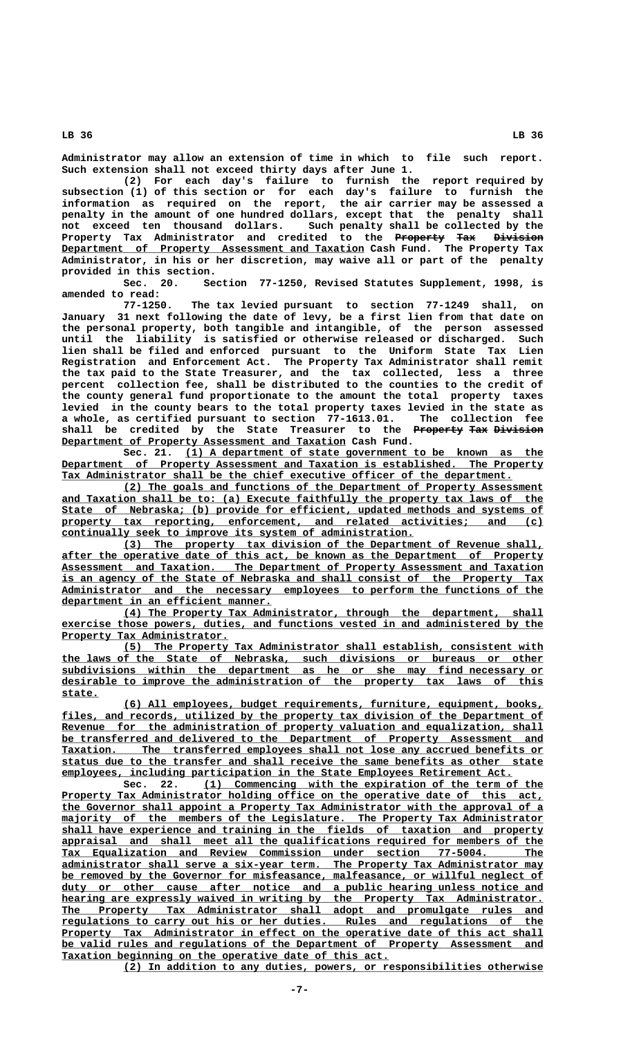**Administrator may allow an extension of time in which to file such report. Such extension shall not exceed thirty days after June 1.**

**(2) For each day's failure to furnish the report required by subsection (1) of this section or for each day's failure to furnish the information as required on the report, the air carrier may be assessed a penalty in the amount of one hundred dollars, except that the penalty shall not exceed ten thousand dollars. Such penalty shall be collected by the** Property Tax Administrator and credited to the Property Tax Division  $Department of Property Assesment and Taxation Cash Fund. The Property Tax$ </u> **Administrator, in his or her discretion, may waive all or part of the penalty provided in this section.**

> **Sec. 20. Section 77-1250, Revised Statutes Supplement, 1998, is amended to read:**

> **77-1250. The tax levied pursuant to section 77-1249 shall, on January 31 next following the date of levy, be a first lien from that date on the personal property, both tangible and intangible, of the person assessed until the liability is satisfied or otherwise released or discharged. Such lien shall be filed and enforced pursuant to the Uniform State Tax Lien Registration and Enforcement Act. The Property Tax Administrator shall remit the tax paid to the State Treasurer, and the tax collected, less a three percent collection fee, shall be distributed to the counties to the credit of the county general fund proportionate to the amount the total property taxes levied in the county bears to the total property taxes levied in the state as a whole, as certified pursuant to section 77-1613.01. The collection fee** shall be credited by the State Treasurer to the Property Tax Division  **\_\_\_\_\_\_\_\_\_\_\_\_\_\_\_\_\_\_\_\_\_\_\_\_\_\_\_\_\_\_\_\_\_\_\_\_\_\_\_\_\_\_\_\_\_\_ Department of Property Assessment and Taxation Cash Fund.**

> **\_\_\_\_\_\_\_\_\_\_\_\_\_\_\_\_\_\_\_\_\_\_\_\_\_\_\_\_\_\_\_\_\_\_\_\_\_\_\_\_\_\_\_\_\_\_\_\_\_\_\_\_\_\_\_\_\_\_ Sec. 21. (1) A department of state government to be known as the \_\_\_\_\_\_\_\_\_\_\_\_\_\_\_\_\_\_\_\_\_\_\_\_\_\_\_\_\_\_\_\_\_\_\_\_\_\_\_\_\_\_\_\_\_\_\_\_\_\_\_\_\_\_\_\_\_\_\_\_\_\_\_\_\_\_\_\_\_\_\_\_\_\_\_\_\_\_ Department of Property Assessment and Taxation is established. The Property** Tax Administrator shall be the chief executive officer of the department.

> **\_\_\_\_\_\_\_\_\_\_\_\_\_\_\_\_\_\_\_\_\_\_\_\_\_\_\_\_\_\_\_\_\_\_\_\_\_\_\_\_\_\_\_\_\_\_\_\_\_\_\_\_\_\_\_\_\_\_\_\_\_\_\_\_\_\_\_\_ (2) The goals and functions of the Department of Property Assessment** and Taxation shall be to: (a) Execute faithfully the property tax laws of the  **\_\_\_\_\_\_\_\_\_\_\_\_\_\_\_\_\_\_\_\_\_\_\_\_\_\_\_\_\_\_\_\_\_\_\_\_\_\_\_\_\_\_\_\_\_\_\_\_\_\_\_\_\_\_\_\_\_\_\_\_\_\_\_\_\_\_\_\_\_\_\_\_\_\_\_\_\_\_ State of Nebraska; (b) provide for efficient, updated methods and systems of \_\_\_\_\_\_\_\_\_\_\_\_\_\_\_\_\_\_\_\_\_\_\_\_\_\_\_\_\_\_\_\_\_\_\_\_\_\_\_\_\_\_\_\_\_\_\_\_\_\_\_\_\_\_\_\_\_\_\_\_\_\_\_\_\_\_\_\_\_\_\_\_\_\_\_\_\_\_ property tax reporting, enforcement, and related activities; and (c) \_\_\_\_\_\_\_\_\_\_\_\_\_\_\_\_\_\_\_\_\_\_\_\_\_\_\_\_\_\_\_\_\_\_\_\_\_\_\_\_\_\_\_\_\_\_\_\_\_\_\_\_\_\_\_\_\_ continually seek to improve its system of administration.**

> **\_\_\_\_\_\_\_\_\_\_\_\_\_\_\_\_\_\_\_\_\_\_\_\_\_\_\_\_\_\_\_\_\_\_\_\_\_\_\_\_\_\_\_\_\_\_\_\_\_\_\_\_\_\_\_\_\_\_\_\_\_\_\_\_\_\_\_\_ (3) The property tax division of the Department of Revenue shall, after the operative date of this act, be known as the Department of Property Assessment and Taxation. The Department of Property Assessment and Taxation. \_\_\_\_\_\_\_\_\_\_\_\_\_\_\_\_\_\_\_\_\_\_\_\_\_\_\_\_\_\_\_\_\_\_\_\_\_\_\_\_\_\_\_\_\_\_\_\_\_\_\_\_\_\_\_\_\_\_\_\_\_\_\_\_\_\_\_\_\_\_\_\_\_\_\_\_\_\_ Assessment and Taxation. The Department of Property Assessment and Taxation \_\_\_\_\_\_\_\_\_\_\_\_\_\_\_\_\_\_\_\_\_\_\_\_\_\_\_\_\_\_\_\_\_\_\_\_\_\_\_\_\_\_\_\_\_\_\_\_\_\_\_\_\_\_\_\_\_\_\_\_\_\_\_\_\_\_\_\_\_\_\_\_\_\_\_\_\_\_ is an agency of the State of Nebraska and shall consist of the Property Tax**  $Administrator$  and the necessary employees to perform the functions of the  **\_\_\_\_\_\_\_\_\_\_\_\_\_\_\_\_\_\_\_\_\_\_\_\_\_\_\_\_\_\_\_\_\_\_ department in an efficient manner.**

> **\_\_\_\_\_\_\_\_\_\_\_\_\_\_\_\_\_\_\_\_\_\_\_\_\_\_\_\_\_\_\_\_\_\_\_\_\_\_\_\_\_\_\_\_\_\_\_\_\_\_\_\_\_\_\_\_\_\_\_\_\_\_\_\_\_\_\_\_ (4) The Property Tax Administrator, through the department, shall \_\_\_\_\_\_\_\_\_\_\_\_\_\_\_\_\_\_\_\_\_\_\_\_\_\_\_\_\_\_\_\_\_\_\_\_\_\_\_\_\_\_\_\_\_\_\_\_\_\_\_\_\_\_\_\_\_\_\_\_\_\_\_\_\_\_\_\_\_\_\_\_\_\_\_\_\_\_ exercise those powers, duties, and functions vested in and administered by the \_\_\_\_\_\_\_\_\_\_\_\_\_\_\_\_\_\_\_\_\_\_\_\_\_\_\_ Property Tax Administrator.**

 **\_\_\_\_\_\_\_\_\_\_\_\_\_\_\_\_\_\_\_\_\_\_\_\_\_\_\_\_\_\_\_\_\_\_\_\_\_\_\_\_\_\_\_\_\_\_\_\_\_\_\_\_\_\_\_\_\_\_\_\_\_\_\_\_\_\_\_\_ (5) The Property Tax Administrator shall establish, consistent with \_\_\_\_\_\_\_\_\_\_\_\_\_\_\_\_\_\_\_\_\_\_\_\_\_\_\_\_\_\_\_\_\_\_\_\_\_\_\_\_\_\_\_\_\_\_\_\_\_\_\_\_\_\_\_\_\_\_\_\_\_\_\_\_\_\_\_\_\_\_\_\_\_\_\_\_\_\_ the laws of the State of Nebraska, such divisions or bureaus or other \_\_\_\_\_\_\_\_\_\_\_\_\_\_\_\_\_\_\_\_\_\_\_\_\_\_\_\_\_\_\_\_\_\_\_\_\_\_\_\_\_\_\_\_\_\_\_\_\_\_\_\_\_\_\_\_\_\_\_\_\_\_\_\_\_\_\_\_\_\_\_\_\_\_\_\_\_\_ subdivisions within the department as he or she may find necessary or \_\_\_\_\_\_\_\_\_\_\_\_\_\_\_\_\_\_\_\_\_\_\_\_\_\_\_\_\_\_\_\_\_\_\_\_\_\_\_\_\_\_\_\_\_\_\_\_\_\_\_\_\_\_\_\_\_\_\_\_\_\_\_\_\_\_\_\_\_\_\_\_\_\_\_\_\_\_ desirable to improve the administration of the property tax laws of this state. \_\_\_\_\_\_**

> **\_\_\_\_\_\_\_\_\_\_\_\_\_\_\_\_\_\_\_\_\_\_\_\_\_\_\_\_\_\_\_\_\_\_\_\_\_\_\_\_\_\_\_\_\_\_\_\_\_\_\_\_\_\_\_\_\_\_\_\_\_\_\_\_\_\_\_\_ (6) All employees, budget requirements, furniture, equipment, books,** files, and records, utilized by the property tax division of the Department of Revenue for the administration of property valuation and equalization, shall  **\_\_\_\_\_\_\_\_\_\_\_\_\_\_\_\_\_\_\_\_\_\_\_\_\_\_\_\_\_\_\_\_\_\_\_\_\_\_\_\_\_\_\_\_\_\_\_\_\_\_\_\_\_\_\_\_\_\_\_\_\_\_\_\_\_\_\_\_\_\_\_\_\_\_\_\_\_\_ be transferred and delivered to the Department of Property Assessment and \_\_\_\_\_\_\_\_\_\_\_\_\_\_\_\_\_\_\_\_\_\_\_\_\_\_\_\_\_\_\_\_\_\_\_\_\_\_\_\_\_\_\_\_\_\_\_\_\_\_\_\_\_\_\_\_\_\_\_\_\_\_\_\_\_\_\_\_\_\_\_\_\_\_\_\_\_\_ Taxation. The transferred employees shall not lose any accrued benefits or \_\_\_\_\_\_\_\_\_\_\_\_\_\_\_\_\_\_\_\_\_\_\_\_\_\_\_\_\_\_\_\_\_\_\_\_\_\_\_\_\_\_\_\_\_\_\_\_\_\_\_\_\_\_\_\_\_\_\_\_\_\_\_\_\_\_\_\_\_\_\_\_\_\_\_\_\_\_ status due to the transfer and shall receive the same benefits as other state \_\_\_\_\_\_\_\_\_\_\_\_\_\_\_\_\_\_\_\_\_\_\_\_\_\_\_\_\_\_\_\_\_\_\_\_\_\_\_\_\_\_\_\_\_\_\_\_\_\_\_\_\_\_\_\_\_\_\_\_\_\_\_\_\_\_\_\_\_\_\_\_\_ employees, including participation in the State Employees Retirement Act.**

 **\_\_\_\_\_\_\_\_\_\_\_\_\_\_\_\_\_\_\_\_\_\_\_\_\_\_\_\_\_\_\_\_\_\_\_\_\_\_\_\_\_\_\_\_\_\_\_\_\_\_\_\_\_\_\_ Sec. 22. (1) Commencing with the expiration of the term of the \_\_\_\_\_\_\_\_\_\_\_\_\_\_\_\_\_\_\_\_\_\_\_\_\_\_\_\_\_\_\_\_\_\_\_\_\_\_\_\_\_\_\_\_\_\_\_\_\_\_\_\_\_\_\_\_\_\_\_\_\_\_\_\_\_\_\_\_\_\_\_\_\_\_\_\_\_\_ Property Tax Administrator holding office on the operative date of this act, \_\_\_\_\_\_\_\_\_\_\_\_\_\_\_\_\_\_\_\_\_\_\_\_\_\_\_\_\_\_\_\_\_\_\_\_\_\_\_\_\_\_\_\_\_\_\_\_\_\_\_\_\_\_\_\_\_\_\_\_\_\_\_\_\_\_\_\_\_\_\_\_\_\_\_\_\_\_ the Governor shall appoint a Property Tax Administrator with the approval of a**  $majority$  of the members of the Legislature. The Property Tax Administrator  **\_\_\_\_\_\_\_\_\_\_\_\_\_\_\_\_\_\_\_\_\_\_\_\_\_\_\_\_\_\_\_\_\_\_\_\_\_\_\_\_\_\_\_\_\_\_\_\_\_\_\_\_\_\_\_\_\_\_\_\_\_\_\_\_\_\_\_\_\_\_\_\_\_\_\_\_\_\_ shall have experience and training in the fields of taxation and property \_\_\_\_\_\_\_\_\_\_\_\_\_\_\_\_\_\_\_\_\_\_\_\_\_\_\_\_\_\_\_\_\_\_\_\_\_\_\_\_\_\_\_\_\_\_\_\_\_\_\_\_\_\_\_\_\_\_\_\_\_\_\_\_\_\_\_\_\_\_\_\_\_\_\_\_\_\_ appraisal and shall meet all the qualifications required for members of the \_\_\_\_\_\_\_\_\_\_\_\_\_\_\_\_\_\_\_\_\_\_\_\_\_\_\_\_\_\_\_\_\_\_\_\_\_\_\_\_\_\_\_\_\_\_\_\_\_\_\_\_\_\_\_\_\_\_\_\_\_\_\_\_\_\_\_\_\_\_\_\_\_\_\_\_\_\_ Tax Equalization and Review Commission under section 77-5004. The \_\_\_\_\_\_\_\_\_\_\_\_\_\_\_\_\_\_\_\_\_\_\_\_\_\_\_\_\_\_\_\_\_\_\_\_\_\_\_\_\_\_\_\_\_\_\_\_\_\_\_\_\_\_\_\_\_\_\_\_\_\_\_\_\_\_\_\_\_\_\_\_\_\_\_\_\_\_ administrator shall serve a six-year term. The Property Tax Administrator may \_\_\_\_\_\_\_\_\_\_\_\_\_\_\_\_\_\_\_\_\_\_\_\_\_\_\_\_\_\_\_\_\_\_\_\_\_\_\_\_\_\_\_\_\_\_\_\_\_\_\_\_\_\_\_\_\_\_\_\_\_\_\_\_\_\_\_\_\_\_\_\_\_\_\_\_\_\_ be removed by the Governor for misfeasance, malfeasance, or willful neglect of \_\_\_\_\_\_\_\_\_\_\_\_\_\_\_\_\_\_\_\_\_\_\_\_\_\_\_\_\_\_\_\_\_\_\_\_\_\_\_\_\_\_\_\_\_\_\_\_\_\_\_\_\_\_\_\_\_\_\_\_\_\_\_\_\_\_\_\_\_\_\_\_\_\_\_\_\_\_ duty or other cause after notice and a public hearing unless notice and \_\_\_\_\_\_\_\_\_\_\_\_\_\_\_\_\_\_\_\_\_\_\_\_\_\_\_\_\_\_\_\_\_\_\_\_\_\_\_\_\_\_\_\_\_\_\_\_\_\_\_\_\_\_\_\_\_\_\_\_\_\_\_\_\_\_\_\_\_\_\_\_\_\_\_\_\_\_ hearing are expressly waived in writing by the Property Tax Administrator. \_\_\_\_\_\_\_\_\_\_\_\_\_\_\_\_\_\_\_\_\_\_\_\_\_\_\_\_\_\_\_\_\_\_\_\_\_\_\_\_\_\_\_\_\_\_\_\_\_\_\_\_\_\_\_\_\_\_\_\_\_\_\_\_\_\_\_\_\_\_\_\_\_\_\_\_\_\_ The Property Tax Administrator shall adopt and promulgate rules and \_\_\_\_\_\_\_\_\_\_\_\_\_\_\_\_\_\_\_\_\_\_\_\_\_\_\_\_\_\_\_\_\_\_\_\_\_\_\_\_\_\_\_\_\_\_\_\_\_\_\_\_\_\_\_\_\_\_\_\_\_\_\_\_\_\_\_\_\_\_\_\_\_\_\_\_\_\_ regulations to carry out his or her duties. Rules and regulations of the** Property Tax Administrator in effect on the operative date of this act shall  **\_\_\_\_\_\_\_\_\_\_\_\_\_\_\_\_\_\_\_\_\_\_\_\_\_\_\_\_\_\_\_\_\_\_\_\_\_\_\_\_\_\_\_\_\_\_\_\_\_\_\_\_\_\_\_\_\_\_\_\_\_\_\_\_\_\_\_\_\_\_\_\_\_\_\_\_\_\_ be valid rules and regulations of the Department of Property Assessment and Taxation beginning on the operative date of this act.** 

 **\_\_\_\_\_\_\_\_\_\_\_\_\_\_\_\_\_\_\_\_\_\_\_\_\_\_\_\_\_\_\_\_\_\_\_\_\_\_\_\_\_\_\_\_\_\_\_\_\_\_\_\_\_\_\_\_\_\_\_\_\_\_\_\_\_\_\_\_ (2) In addition to any duties, powers, or responsibilities otherwise**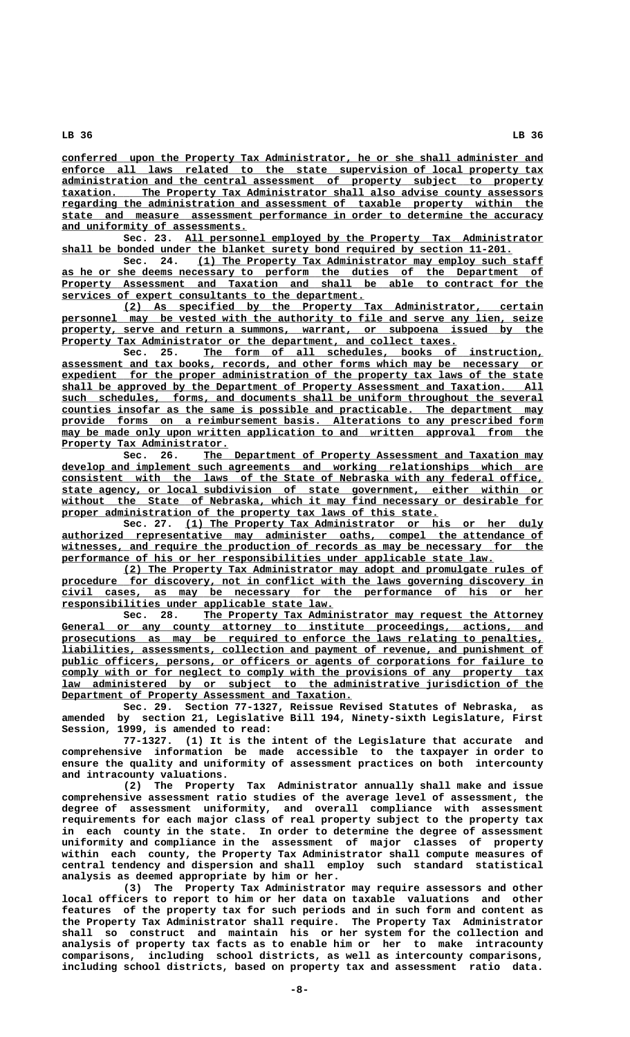**\_\_\_\_\_\_\_\_\_\_\_\_\_\_\_\_\_\_\_\_\_\_\_\_\_\_\_\_\_\_\_\_\_\_\_\_\_\_\_\_\_\_\_\_\_\_\_\_\_\_\_\_\_\_\_\_\_\_\_\_\_\_\_\_\_\_\_\_\_\_\_\_\_\_\_\_\_\_ conferred upon the Property Tax Administrator, he or she shall administer and** enforce all laws related to the state supervision of local property tax  **\_\_\_\_\_\_\_\_\_\_\_\_\_\_\_\_\_\_\_\_\_\_\_\_\_\_\_\_\_\_\_\_\_\_\_\_\_\_\_\_\_\_\_\_\_\_\_\_\_\_\_\_\_\_\_\_\_\_\_\_\_\_\_\_\_\_\_\_\_\_\_\_\_\_\_\_\_\_ administration and the central assessment of property subject to property \_\_\_\_\_\_\_\_\_\_\_\_\_\_\_\_\_\_\_\_\_\_\_\_\_\_\_\_\_\_\_\_\_\_\_\_\_\_\_\_\_\_\_\_\_\_\_\_\_\_\_\_\_\_\_\_\_\_\_\_\_\_\_\_\_\_\_\_\_\_\_\_\_\_\_\_\_\_ taxation. The Property Tax Administrator shall also advise county assessors \_\_\_\_\_\_\_\_\_\_\_\_\_\_\_\_\_\_\_\_\_\_\_\_\_\_\_\_\_\_\_\_\_\_\_\_\_\_\_\_\_\_\_\_\_\_\_\_\_\_\_\_\_\_\_\_\_\_\_\_\_\_\_\_\_\_\_\_\_\_\_\_\_\_\_\_\_\_ regarding the administration and assessment of taxable property within the \_\_\_\_\_\_\_\_\_\_\_\_\_\_\_\_\_\_\_\_\_\_\_\_\_\_\_\_\_\_\_\_\_\_\_\_\_\_\_\_\_\_\_\_\_\_\_\_\_\_\_\_\_\_\_\_\_\_\_\_\_\_\_\_\_\_\_\_\_\_\_\_\_\_\_\_\_\_ state and measure assessment performance in order to determine the accuracy \_\_\_\_\_\_\_\_\_\_\_\_\_\_\_\_\_\_\_\_\_\_\_\_\_\_\_\_\_\_ and uniformity of assessments.**

 **\_\_\_\_\_\_\_\_\_\_\_\_\_\_\_\_\_\_\_\_\_\_\_\_\_\_\_\_\_\_\_\_\_\_\_\_\_\_\_\_\_\_\_\_\_\_\_\_\_\_\_\_\_\_\_\_\_\_ Sec. 23. All personnel employed by the Property Tax Administrator** shall be bonded under the blanket surety bond required by section 11-201.

Sec. 24. (1) The Property Tax Administrator may employ such staff  **\_\_\_\_\_\_\_\_\_\_\_\_\_\_\_\_\_\_\_\_\_\_\_\_\_\_\_\_\_\_\_\_\_\_\_\_\_\_\_\_\_\_\_\_\_\_\_\_\_\_\_\_\_\_\_\_\_\_\_\_\_\_\_\_\_\_\_\_\_\_\_\_\_\_\_\_\_\_ as he or she deems necessary to perform the duties of the Department of** Property Assessment and Taxation and shall be able to contract for the  **\_\_\_\_\_\_\_\_\_\_\_\_\_\_\_\_\_\_\_\_\_\_\_\_\_\_\_\_\_\_\_\_\_\_\_\_\_\_\_\_\_\_\_\_\_\_\_\_\_ services of expert consultants to the department.**

 **\_\_\_\_\_\_\_\_\_\_\_\_\_\_\_\_\_\_\_\_\_\_\_\_\_\_\_\_\_\_\_\_\_\_\_\_\_\_\_\_\_\_\_\_\_\_\_\_\_\_\_\_\_\_\_\_\_\_\_\_\_\_\_\_\_\_\_\_ (2) As specified by the Property Tax Administrator, certain** personnel may be vested with the authority to file and serve any lien, seize  **\_\_\_\_\_\_\_\_\_\_\_\_\_\_\_\_\_\_\_\_\_\_\_\_\_\_\_\_\_\_\_\_\_\_\_\_\_\_\_\_\_\_\_\_\_\_\_\_\_\_\_\_\_\_\_\_\_\_\_\_\_\_\_\_\_\_\_\_\_\_\_\_\_\_\_\_\_\_ property, serve and return a summons, warrant, or subpoena issued by the** Property Tax Administrator or the department, and collect taxes.

 **\_\_\_\_\_\_\_\_\_\_\_\_\_\_\_\_\_\_\_\_\_\_\_\_\_\_\_\_\_\_\_\_\_\_\_\_\_\_\_\_\_\_\_\_\_\_\_\_\_\_\_\_\_\_\_ Sec. 25. The form of all schedules, books of instruction, \_\_\_\_\_\_\_\_\_\_\_\_\_\_\_\_\_\_\_\_\_\_\_\_\_\_\_\_\_\_\_\_\_\_\_\_\_\_\_\_\_\_\_\_\_\_\_\_\_\_\_\_\_\_\_\_\_\_\_\_\_\_\_\_\_\_\_\_\_\_\_\_\_\_\_\_\_\_ assessment and tax books, records, and other forms which may be necessary or \_\_\_\_\_\_\_\_\_\_\_\_\_\_\_\_\_\_\_\_\_\_\_\_\_\_\_\_\_\_\_\_\_\_\_\_\_\_\_\_\_\_\_\_\_\_\_\_\_\_\_\_\_\_\_\_\_\_\_\_\_\_\_\_\_\_\_\_\_\_\_\_\_\_\_\_\_\_ expedient for the proper administration of the property tax laws of the state**  $shall$  be approved by the Department of Property Assessment and Taxation. All  **\_\_\_\_\_\_\_\_\_\_\_\_\_\_\_\_\_\_\_\_\_\_\_\_\_\_\_\_\_\_\_\_\_\_\_\_\_\_\_\_\_\_\_\_\_\_\_\_\_\_\_\_\_\_\_\_\_\_\_\_\_\_\_\_\_\_\_\_\_\_\_\_\_\_\_\_\_\_ such schedules, forms, and documents shall be uniform throughout the several \_\_\_\_\_\_\_\_\_\_\_\_\_\_\_\_\_\_\_\_\_\_\_\_\_\_\_\_\_\_\_\_\_\_\_\_\_\_\_\_\_\_\_\_\_\_\_\_\_\_\_\_\_\_\_\_\_\_\_\_\_\_\_\_\_\_\_\_\_\_\_\_\_\_\_\_\_\_ counties insofar as the same is possible and practicable. The department may \_\_\_\_\_\_\_\_\_\_\_\_\_\_\_\_\_\_\_\_\_\_\_\_\_\_\_\_\_\_\_\_\_\_\_\_\_\_\_\_\_\_\_\_\_\_\_\_\_\_\_\_\_\_\_\_\_\_\_\_\_\_\_\_\_\_\_\_\_\_\_\_\_\_\_\_\_\_ provide forms on a reimbursement basis. Alterations to any prescribed form**  $\max$  be made only upon written application to and written approval from the  **\_\_\_\_\_\_\_\_\_\_\_\_\_\_\_\_\_\_\_\_\_\_\_\_\_\_\_ Property Tax Administrator.**

Sec. 26. The Department of Property Assessment and Taxation may  **\_\_\_\_\_\_\_\_\_\_\_\_\_\_\_\_\_\_\_\_\_\_\_\_\_\_\_\_\_\_\_\_\_\_\_\_\_\_\_\_\_\_\_\_\_\_\_\_\_\_\_\_\_\_\_\_\_\_\_\_\_\_\_\_\_\_\_\_\_\_\_\_\_\_\_\_\_\_ develop and implement such agreements and working relationships which are \_\_\_\_\_\_\_\_\_\_\_\_\_\_\_\_\_\_\_\_\_\_\_\_\_\_\_\_\_\_\_\_\_\_\_\_\_\_\_\_\_\_\_\_\_\_\_\_\_\_\_\_\_\_\_\_\_\_\_\_\_\_\_\_\_\_\_\_\_\_\_\_\_\_\_\_\_\_ consistent with the laws of the State of Nebraska with any federal office, \_\_\_\_\_\_\_\_\_\_\_\_\_\_\_\_\_\_\_\_\_\_\_\_\_\_\_\_\_\_\_\_\_\_\_\_\_\_\_\_\_\_\_\_\_\_\_\_\_\_\_\_\_\_\_\_\_\_\_\_\_\_\_\_\_\_\_\_\_\_\_\_\_\_\_\_\_\_ state agency, or local subdivision of state government, either within or \_\_\_\_\_\_\_\_\_\_\_\_\_\_\_\_\_\_\_\_\_\_\_\_\_\_\_\_\_\_\_\_\_\_\_\_\_\_\_\_\_\_\_\_\_\_\_\_\_\_\_\_\_\_\_\_\_\_\_\_\_\_\_\_\_\_\_\_\_\_\_\_\_\_\_\_\_\_ without the State of Nebraska, which it may find necessary or desirable for \_\_\_\_\_\_\_\_\_\_\_\_\_\_\_\_\_\_\_\_\_\_\_\_\_\_\_\_\_\_\_\_\_\_\_\_\_\_\_\_\_\_\_\_\_\_\_\_\_\_\_\_\_\_\_\_\_\_\_\_\_ proper administration of the property tax laws of this state.**

Sec. 27. (1) The Property Tax Administrator or his or her duly  **\_\_\_\_\_\_\_\_\_\_\_\_\_\_\_\_\_\_\_\_\_\_\_\_\_\_\_\_\_\_\_\_\_\_\_\_\_\_\_\_\_\_\_\_\_\_\_\_\_\_\_\_\_\_\_\_\_\_\_\_\_\_\_\_\_\_\_\_\_\_\_\_\_\_\_\_\_\_ authorized representative may administer oaths, compel the attendance of \_\_\_\_\_\_\_\_\_\_\_\_\_\_\_\_\_\_\_\_\_\_\_\_\_\_\_\_\_\_\_\_\_\_\_\_\_\_\_\_\_\_\_\_\_\_\_\_\_\_\_\_\_\_\_\_\_\_\_\_\_\_\_\_\_\_\_\_\_\_\_\_\_\_\_\_\_\_ witnesses, and require the production of records as may be necessary for the \_\_\_\_\_\_\_\_\_\_\_\_\_\_\_\_\_\_\_\_\_\_\_\_\_\_\_\_\_\_\_\_\_\_\_\_\_\_\_\_\_\_\_\_\_\_\_\_\_\_\_\_\_\_\_\_\_\_\_\_\_\_\_\_\_\_\_\_\_\_ performance of his or her responsibilities under applicable state law.**

 **\_\_\_\_\_\_\_\_\_\_\_\_\_\_\_\_\_\_\_\_\_\_\_\_\_\_\_\_\_\_\_\_\_\_\_\_\_\_\_\_\_\_\_\_\_\_\_\_\_\_\_\_\_\_\_\_\_\_\_\_\_\_\_\_\_\_\_\_ (2) The Property Tax Administrator may adopt and promulgate rules of \_\_\_\_\_\_\_\_\_\_\_\_\_\_\_\_\_\_\_\_\_\_\_\_\_\_\_\_\_\_\_\_\_\_\_\_\_\_\_\_\_\_\_\_\_\_\_\_\_\_\_\_\_\_\_\_\_\_\_\_\_\_\_\_\_\_\_\_\_\_\_\_\_\_\_\_\_\_ procedure for discovery, not in conflict with the laws governing discovery in \_\_\_\_\_\_\_\_\_\_\_\_\_\_\_\_\_\_\_\_\_\_\_\_\_\_\_\_\_\_\_\_\_\_\_\_\_\_\_\_\_\_\_\_\_\_\_\_\_\_\_\_\_\_\_\_\_\_\_\_\_\_\_\_\_\_\_\_\_\_\_\_\_\_\_\_\_\_ civil cases, as may be necessary for the performance of his or her responsibilities under applicable state law.**<br>Sec. 28. The Property Tax Admin

The Property Tax Administrator may request the Attorney  **\_\_\_\_\_\_\_\_\_\_\_\_\_\_\_\_\_\_\_\_\_\_\_\_\_\_\_\_\_\_\_\_\_\_\_\_\_\_\_\_\_\_\_\_\_\_\_\_\_\_\_\_\_\_\_\_\_\_\_\_\_\_\_\_\_\_\_\_\_\_\_\_\_\_\_\_\_\_ General or any county attorney to institute proceedings, actions, and \_\_\_\_\_\_\_\_\_\_\_\_\_\_\_\_\_\_\_\_\_\_\_\_\_\_\_\_\_\_\_\_\_\_\_\_\_\_\_\_\_\_\_\_\_\_\_\_\_\_\_\_\_\_\_\_\_\_\_\_\_\_\_\_\_\_\_\_\_\_\_\_\_\_\_\_\_\_ prosecutions as may be required to enforce the laws relating to penalties, \_\_\_\_\_\_\_\_\_\_\_\_\_\_\_\_\_\_\_\_\_\_\_\_\_\_\_\_\_\_\_\_\_\_\_\_\_\_\_\_\_\_\_\_\_\_\_\_\_\_\_\_\_\_\_\_\_\_\_\_\_\_\_\_\_\_\_\_\_\_\_\_\_\_\_\_\_\_ liabilities, assessments, collection and payment of revenue, and punishment of \_\_\_\_\_\_\_\_\_\_\_\_\_\_\_\_\_\_\_\_\_\_\_\_\_\_\_\_\_\_\_\_\_\_\_\_\_\_\_\_\_\_\_\_\_\_\_\_\_\_\_\_\_\_\_\_\_\_\_\_\_\_\_\_\_\_\_\_\_\_\_\_\_\_\_\_\_\_ public officers, persons, or officers or agents of corporations for failure to** comply with or for neglect to comply with the provisions of any property tax  **\_\_\_\_\_\_\_\_\_\_\_\_\_\_\_\_\_\_\_\_\_\_\_\_\_\_\_\_\_\_\_\_\_\_\_\_\_\_\_\_\_\_\_\_\_\_\_\_\_\_\_\_\_\_\_\_\_\_\_\_\_\_\_\_\_\_\_\_\_\_\_\_\_\_\_\_\_\_ law administered by or subject to the administrative jurisdiction of the Department of Property Assessment and Taxation.** 

**Sec. 29. Section 77-1327, Reissue Revised Statutes of Nebraska, as amended by section 21, Legislative Bill 194, Ninety-sixth Legislature, First Session, 1999, is amended to read:**

**77-1327. (1) It is the intent of the Legislature that accurate and comprehensive information be made accessible to the taxpayer in order to ensure the quality and uniformity of assessment practices on both intercounty and intracounty valuations.**

**(2) The Property Tax Administrator annually shall make and issue comprehensive assessment ratio studies of the average level of assessment, the degree of assessment uniformity, and overall compliance with assessment requirements for each major class of real property subject to the property tax in each county in the state. In order to determine the degree of assessment uniformity and compliance in the assessment of major classes of property within each county, the Property Tax Administrator shall compute measures of central tendency and dispersion and shall employ such standard statistical analysis as deemed appropriate by him or her.**

**(3) The Property Tax Administrator may require assessors and other local officers to report to him or her data on taxable valuations and other features of the property tax for such periods and in such form and content as the Property Tax Administrator shall require. The Property Tax Administrator shall so construct and maintain his or her system for the collection and analysis of property tax facts as to enable him or her to make intracounty comparisons, including school districts, as well as intercounty comparisons, including school districts, based on property tax and assessment ratio data.**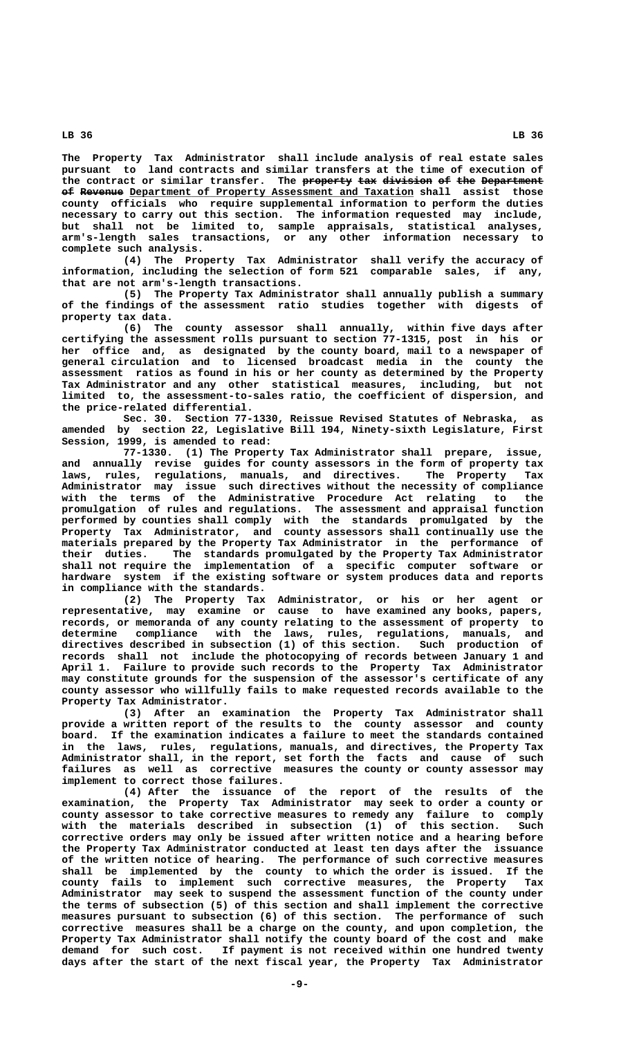**The Property Tax Administrator shall include analysis of real estate sales pursuant to land contracts and similar transfers at the time of execution of** the contract or similar transfer. The property tax division of the Department **of Revenue Department of Property Assessment and Taxation shall assist those county officials who require supplemental information to perform the duties necessary to carry out this section. The information requested may include, but shall not be limited to, sample appraisals, statistical analyses, arm's-length sales transactions, or any other information necessary to complete such analysis.**

**(4) The Property Tax Administrator shall verify the accuracy of information, including the selection of form 521 comparable sales, if any, that are not arm's-length transactions.**

**(5) The Property Tax Administrator shall annually publish a summary of the findings of the assessment ratio studies together with digests of property tax data.**

**(6) The county assessor shall annually, within five days after certifying the assessment rolls pursuant to section 77-1315, post in his or her office and, as designated by the county board, mail to a newspaper of general circulation and to licensed broadcast media in the county the assessment ratios as found in his or her county as determined by the Property Tax Administrator and any other statistical measures, including, but not limited to, the assessment-to-sales ratio, the coefficient of dispersion, and the price-related differential.**

**Sec. 30. Section 77-1330, Reissue Revised Statutes of Nebraska, as amended by section 22, Legislative Bill 194, Ninety-sixth Legislature, First Session, 1999, is amended to read:**

**77-1330. (1) The Property Tax Administrator shall prepare, issue, and annually revise guides for county assessors in the form of property tax laws, rules, regulations, manuals, and directives. The Property Tax Administrator may issue such directives without the necessity of compliance with the terms of the Administrative Procedure Act relating to the promulgation of rules and regulations. The assessment and appraisal function performed by counties shall comply with the standards promulgated by the Property Tax Administrator, and county assessors shall continually use the materials prepared by the Property Tax Administrator in the performance of their duties. The standards promulgated by the Property Tax Administrator shall not require the implementation of a specific computer software or hardware system if the existing software or system produces data and reports in compliance with the standards.**

**(2) The Property Tax Administrator, or his or her agent or representative, may examine or cause to have examined any books, papers, records, or memoranda of any county relating to the assessment of property to determine compliance with the laws, rules, regulations, manuals, and directives described in subsection (1) of this section. Such production of records shall not include the photocopying of records between January 1 and April 1. Failure to provide such records to the Property Tax Administrator may constitute grounds for the suspension of the assessor's certificate of any county assessor who willfully fails to make requested records available to the Property Tax Administrator.**

**(3) After an examination the Property Tax Administrator shall provide a written report of the results to the county assessor and county board. If the examination indicates a failure to meet the standards contained in the laws, rules, regulations, manuals, and directives, the Property Tax Administrator shall, in the report, set forth the facts and cause of such failures as well as corrective measures the county or county assessor may implement to correct those failures.**

**(4) After the issuance of the report of the results of the examination, the Property Tax Administrator may seek to order a county or county assessor to take corrective measures to remedy any failure to comply with the materials described in subsection (1) of this section. Such corrective orders may only be issued after written notice and a hearing before the Property Tax Administrator conducted at least ten days after the issuance of the written notice of hearing. The performance of such corrective measures shall be implemented by the county to which the order is issued. If the county fails to implement such corrective measures, the Property Tax Administrator may seek to suspend the assessment function of the county under the terms of subsection (5) of this section and shall implement the corrective measures pursuant to subsection (6) of this section. The performance of such corrective measures shall be a charge on the county, and upon completion, the Property Tax Administrator shall notify the county board of the cost and make demand for such cost. If payment is not received within one hundred twenty days after the start of the next fiscal year, the Property Tax Administrator**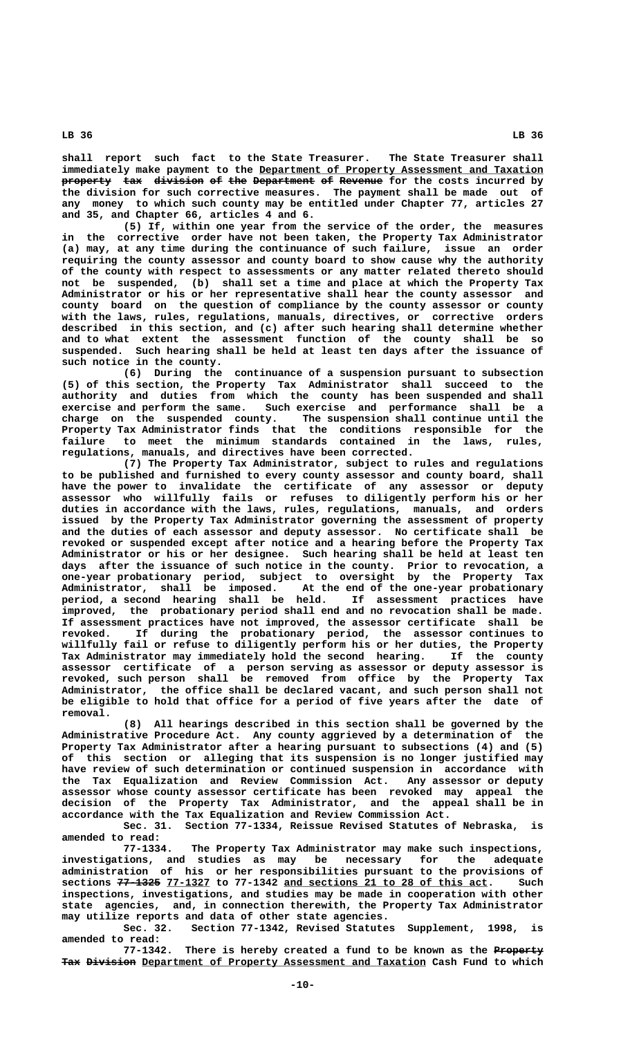**shall report such fact to the State Treasurer. The State Treasurer shall** immediately make payment to the Department of Property Assessment and Taxation **property** tax division of the Department of Revenue for the costs incurred by **the division for such corrective measures. The payment shall be made out of any money to which such county may be entitled under Chapter 77, articles 27 and 35, and Chapter 66, articles 4 and 6.**

**(5) If, within one year from the service of the order, the measures in the corrective order have not been taken, the Property Tax Administrator (a) may, at any time during the continuance of such failure, issue an order requiring the county assessor and county board to show cause why the authority of the county with respect to assessments or any matter related thereto should not be suspended, (b) shall set a time and place at which the Property Tax Administrator or his or her representative shall hear the county assessor and county board on the question of compliance by the county assessor or county with the laws, rules, regulations, manuals, directives, or corrective orders described in this section, and (c) after such hearing shall determine whether and to what extent the assessment function of the county shall be so suspended. Such hearing shall be held at least ten days after the issuance of such notice in the county.**

**(6) During the continuance of a suspension pursuant to subsection (5) of this section, the Property Tax Administrator shall succeed to the authority and duties from which the county has been suspended and shall exercise and perform the same. Such exercise and performance shall be a charge on the suspended county. The suspension shall continue until the Property Tax Administrator finds that the conditions responsible for the failure to meet the minimum standards contained in the laws, rules, regulations, manuals, and directives have been corrected.**

**(7) The Property Tax Administrator, subject to rules and regulations to be published and furnished to every county assessor and county board, shall have the power to invalidate the certificate of any assessor or deputy assessor who willfully fails or refuses to diligently perform his or her duties in accordance with the laws, rules, regulations, manuals, and orders issued by the Property Tax Administrator governing the assessment of property and the duties of each assessor and deputy assessor. No certificate shall be revoked or suspended except after notice and a hearing before the Property Tax Administrator or his or her designee. Such hearing shall be held at least ten days after the issuance of such notice in the county. Prior to revocation, a one-year probationary period, subject to oversight by the Property Tax Administrator, shall be imposed. At the end of the one-year probationary period, a second hearing shall be held. If assessment practices have improved, the probationary period shall end and no revocation shall be made. If assessment practices have not improved, the assessor certificate shall be revoked. If during the probationary period, the assessor continues to willfully fail or refuse to diligently perform his or her duties, the Property Tax Administrator may immediately hold the second hearing. If the county assessor certificate of a person serving as assessor or deputy assessor is revoked, such person shall be removed from office by the Property Tax Administrator, the office shall be declared vacant, and such person shall not be eligible to hold that office for a period of five years after the date of removal.**

**(8) All hearings described in this section shall be governed by the Administrative Procedure Act. Any county aggrieved by a determination of the Property Tax Administrator after a hearing pursuant to subsections (4) and (5) of this section or alleging that its suspension is no longer justified may have review of such determination or continued suspension in accordance with the Tax Equalization and Review Commission Act. Any assessor or deputy assessor whose county assessor certificate has been revoked may appeal the decision of the Property Tax Administrator, and the appeal shall be in accordance with the Tax Equalization and Review Commission Act.**

**Sec. 31. Section 77-1334, Reissue Revised Statutes of Nebraska, is amended to read:**

The Property Tax Administrator may make such inspections, **investigations, and studies as may be necessary for the adequate administration of his or her responsibilities pursuant to the provisions of ——————— \_\_\_\_\_\_\_ \_\_\_\_\_\_\_\_\_\_\_\_\_\_\_\_\_\_\_\_\_\_\_\_\_\_\_\_\_\_\_\_\_ sections 77-1325 77-1327 to 77-1342 and sections 21 to 28 of this act. Such inspections, investigations, and studies may be made in cooperation with other state agencies, and, in connection therewith, the Property Tax Administrator may utilize reports and data of other state agencies.**

**Sec. 32. Section 77-1342, Revised Statutes Supplement, 1998, is amended to read:**

77-1342. There is hereby created a fund to be known as the Property Tax Division Department of Property Assessment and Taxation Cash Fund to which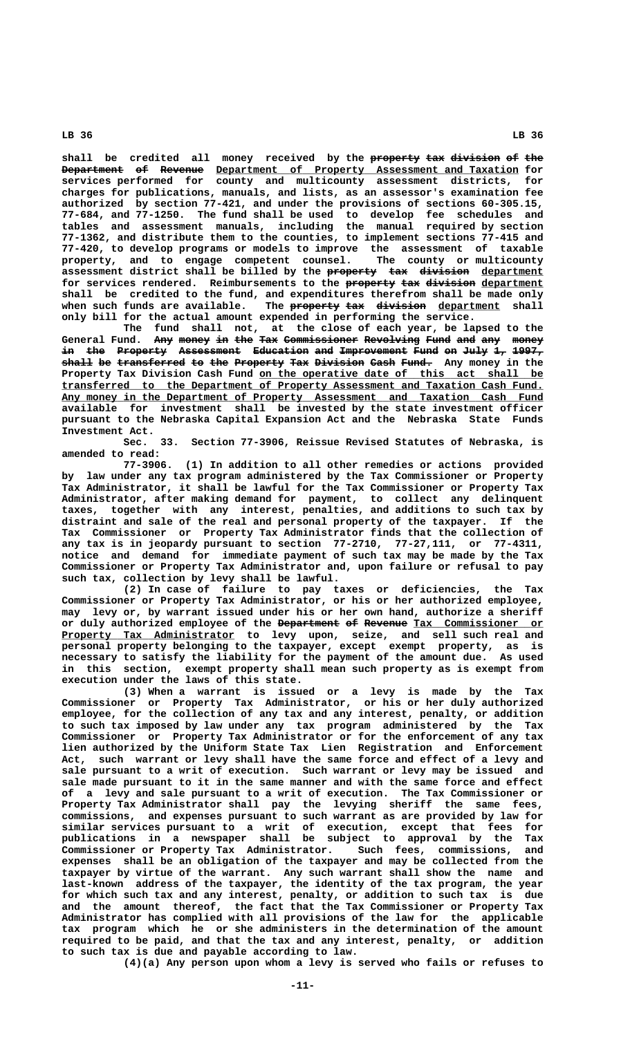shall be credited all money received by the property tax division of the  $\texttt{Department} \quad \texttt{of} \quad \texttt{Revenue} \quad \texttt{Department} \quad \texttt{of} \quad \texttt{Property} \quad \texttt{Assessment} \quad \texttt{and} \quad \texttt{Taxation} \quad \texttt{for}$ **services performed for county and multicounty assessment districts, for charges for publications, manuals, and lists, as an assessor's examination fee authorized by section 77-421, and under the provisions of sections 60-305.15, 77-684, and 77-1250. The fund shall be used to develop fee schedules and tables and assessment manuals, including the manual required by section 77-1362, and distribute them to the counties, to implement sections 77-415 and 77-420, to develop programs or models to improve the assessment of taxable property, and to engage competent counsel. The county or multicounty assessment district shall be billed by the property tax division department ———————— ——— ———————— \_\_\_\_\_\_\_\_\_\_** for services rendered. Reimbursements to the property tax division department **shall be credited to the fund, and expenditures therefrom shall be made only** when such funds are available. The <del>property tax division</del> <u>department</u> shall **only bill for the actual amount expended in performing the service.**

**The fund shall not, at the close of each year, be lapsed to the** General Fund. Any money in the Tax Commissioner Revolving Fund and any money in the Property Assessment Education and Improvement Fund on July 1, 1997, shall be transferred to the Property Tax Division Cash Fund. Any money in the Property Tax Division Cash Fund on the operative date of this act shall be  **\_\_\_\_\_\_\_\_\_\_\_\_\_\_\_\_\_\_\_\_\_\_\_\_\_\_\_\_\_\_\_\_\_\_\_\_\_\_\_\_\_\_\_\_\_\_\_\_\_\_\_\_\_\_\_\_\_\_\_\_\_\_\_\_\_\_\_\_\_\_\_\_\_\_\_\_\_\_ transferred to the Department of Property Assessment and Taxation Cash Fund.** Any money in the Department of Property Assessment and Taxation Cash Fund **available for investment shall be invested by the state investment officer pursuant to the Nebraska Capital Expansion Act and the Nebraska State Funds**

 **Investment Act. Sec. 33. Section 77-3906, Reissue Revised Statutes of Nebraska, is amended to read:**

**77-3906. (1) In addition to all other remedies or actions provided by law under any tax program administered by the Tax Commissioner or Property Tax Administrator, it shall be lawful for the Tax Commissioner or Property Tax Administrator, after making demand for payment, to collect any delinquent taxes, together with any interest, penalties, and additions to such tax by distraint and sale of the real and personal property of the taxpayer. If the Tax Commissioner or Property Tax Administrator finds that the collection of any tax is in jeopardy pursuant to section 77-2710, 77-27,111, or 77-4311, notice and demand for immediate payment of such tax may be made by the Tax Commissioner or Property Tax Administrator and, upon failure or refusal to pay such tax, collection by levy shall be lawful.**

**(2) In case of failure to pay taxes or deficiencies, the Tax Commissioner or Property Tax Administrator, or his or her authorized employee, may levy or, by warrant issued under his or her own hand, authorize a sheriff** or duly authorized employee of the <del>Department of Revenue</del> Tax Commissioner or Property Tax Administrator to levy upon, seize, and sell such real and **personal property belonging to the taxpayer, except exempt property, as is necessary to satisfy the liability for the payment of the amount due. As used in this section, exempt property shall mean such property as is exempt from execution under the laws of this state.**

**(3) When a warrant is issued or a levy is made by the Tax Commissioner or Property Tax Administrator, or his or her duly authorized employee, for the collection of any tax and any interest, penalty, or addition to such tax imposed by law under any tax program administered by the Tax Commissioner or Property Tax Administrator or for the enforcement of any tax lien authorized by the Uniform State Tax Lien Registration and Enforcement Act, such warrant or levy shall have the same force and effect of a levy and sale pursuant to a writ of execution. Such warrant or levy may be issued and sale made pursuant to it in the same manner and with the same force and effect of a levy and sale pursuant to a writ of execution. The Tax Commissioner or Property Tax Administrator shall pay the levying sheriff the same fees, commissions, and expenses pursuant to such warrant as are provided by law for similar services pursuant to a writ of execution, except that fees for publications in a newspaper shall be subject to approval by the Tax Commissioner or Property Tax Administrator. Such fees, commissions, and expenses shall be an obligation of the taxpayer and may be collected from the taxpayer by virtue of the warrant. Any such warrant shall show the name and last-known address of the taxpayer, the identity of the tax program, the year for which such tax and any interest, penalty, or addition to such tax is due and the amount thereof, the fact that the Tax Commissioner or Property Tax Administrator has complied with all provisions of the law for the applicable tax program which he or she administers in the determination of the amount required to be paid, and that the tax and any interest, penalty, or addition to such tax is due and payable according to law.**

**(4)(a) Any person upon whom a levy is served who fails or refuses to**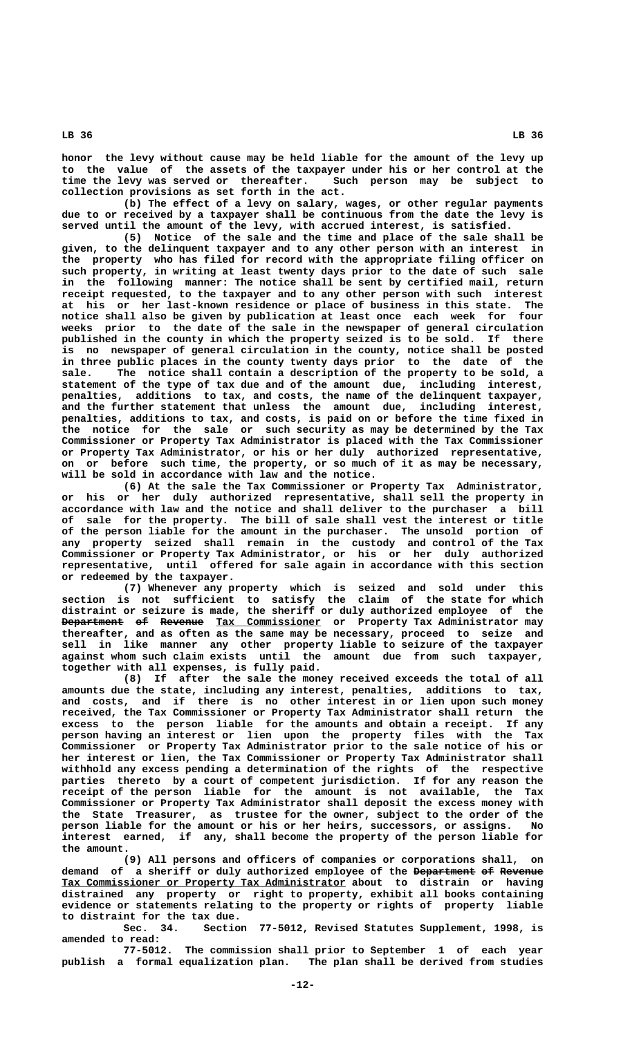**honor the levy without cause may be held liable for the amount of the levy up to the value of the assets of the taxpayer under his or her control at the time the levy was served or thereafter. Such person may be subject to collection provisions as set forth in the act.**

**(b) The effect of a levy on salary, wages, or other regular payments due to or received by a taxpayer shall be continuous from the date the levy is served until the amount of the levy, with accrued interest, is satisfied.**

**(5) Notice of the sale and the time and place of the sale shall be given, to the delinquent taxpayer and to any other person with an interest in the property who has filed for record with the appropriate filing officer on such property, in writing at least twenty days prior to the date of such sale in the following manner: The notice shall be sent by certified mail, return receipt requested, to the taxpayer and to any other person with such interest at his or her last-known residence or place of business in this state. The notice shall also be given by publication at least once each week for four weeks prior to the date of the sale in the newspaper of general circulation published in the county in which the property seized is to be sold. If there is no newspaper of general circulation in the county, notice shall be posted in three public places in the county twenty days prior to the date of the sale. The notice shall contain a description of the property to be sold, a statement of the type of tax due and of the amount due, including interest, penalties, additions to tax, and costs, the name of the delinquent taxpayer, and the further statement that unless the amount due, including interest, penalties, additions to tax, and costs, is paid on or before the time fixed in the notice for the sale or such security as may be determined by the Tax Commissioner or Property Tax Administrator is placed with the Tax Commissioner or Property Tax Administrator, or his or her duly authorized representative, on or before such time, the property, or so much of it as may be necessary, will be sold in accordance with law and the notice.**

**(6) At the sale the Tax Commissioner or Property Tax Administrator, or his or her duly authorized representative, shall sell the property in accordance with law and the notice and shall deliver to the purchaser a bill of sale for the property. The bill of sale shall vest the interest or title of the person liable for the amount in the purchaser. The unsold portion of any property seized shall remain in the custody and control of the Tax Commissioner or Property Tax Administrator, or his or her duly authorized representative, until offered for sale again in accordance with this section or redeemed by the taxpayer.**

**(7) Whenever any property which is seized and sold under this section is not sufficient to satisfy the claim of the state for which distraint or seizure is made, the sheriff or duly authorized employee of the Department of Revenue Tax Commissioner or Property Tax Administrator may —————————— —— ——————— \_\_\_\_\_\_\_\_\_\_\_\_\_\_\_\_\_ thereafter, and as often as the same may be necessary, proceed to seize and sell in like manner any other property liable to seizure of the taxpayer against whom such claim exists until the amount due from such taxpayer, together with all expenses, is fully paid.**

**(8) If after the sale the money received exceeds the total of all amounts due the state, including any interest, penalties, additions to tax, and costs, and if there is no other interest in or lien upon such money received, the Tax Commissioner or Property Tax Administrator shall return the excess to the person liable for the amounts and obtain a receipt. If any person having an interest or lien upon the property files with the Tax Commissioner or Property Tax Administrator prior to the sale notice of his or her interest or lien, the Tax Commissioner or Property Tax Administrator shall withhold any excess pending a determination of the rights of the respective parties thereto by a court of competent jurisdiction. If for any reason the receipt of the person liable for the amount is not available, the Tax Commissioner or Property Tax Administrator shall deposit the excess money with the State Treasurer, as trustee for the owner, subject to the order of the person liable for the amount or his or her heirs, successors, or assigns. No interest earned, if any, shall become the property of the person liable for the amount.**

**(9) All persons and officers of companies or corporations shall, on** demand of a sheriff or duly authorized employee of the <del>Department</del> of Revenue  **<u>Tax Commissioner or Property Tax Administrator</u> about to distrain or having distrained any property or right to property, exhibit all books containing evidence or statements relating to the property or rights of property liable to distraint for the tax due.**

**Sec. 34. Section 77-5012, Revised Statutes Supplement, 1998, is amended to read:**

**77-5012. The commission shall prior to September 1 of each year** The plan shall be derived from studies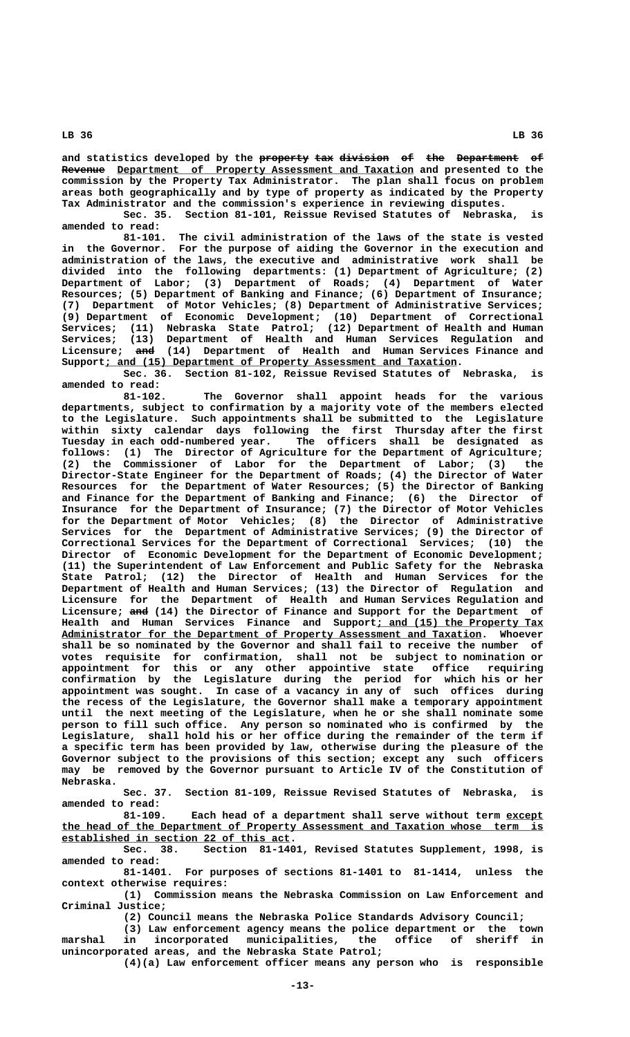and statistics developed by the property tax division of the Department of Revenue Department of Property Assessment and Taxation and presented to the **commission by the Property Tax Administrator. The plan shall focus on problem areas both geographically and by type of property as indicated by the Property Tax Administrator and the commission's experience in reviewing disputes.**

**Sec. 35. Section 81-101, Reissue Revised Statutes of Nebraska, is amended to read:**

**81-101. The civil administration of the laws of the state is vested in the Governor. For the purpose of aiding the Governor in the execution and administration of the laws, the executive and administrative work shall be divided into the following departments: (1) Department of Agriculture; (2) Department of Labor; (3) Department of Roads; (4) Department of Water Resources; (5) Department of Banking and Finance; (6) Department of Insurance; (7) Department of Motor Vehicles; (8) Department of Administrative Services; (9) Department of Economic Development; (10) Department of Correctional Services; (11) Nebraska State Patrol; (12) Department of Health and Human Services; (13) Department of Health and Human Services Regulation and ——— Licensure; and (14) Department of Health and Human Services Finance and** Support; and (15) Department of Property Assessment and Taxation.

**Sec. 36. Section 81-102, Reissue Revised Statutes of Nebraska, is amended to read:**

**81-102. The Governor shall appoint heads for the various departments, subject to confirmation by a majority vote of the members elected to the Legislature. Such appointments shall be submitted to the Legislature within sixty calendar days following the first Thursday after the first** The officers shall be designated as **follows: (1) The Director of Agriculture for the Department of Agriculture; (2) the Commissioner of Labor for the Department of Labor; (3) the Director-State Engineer for the Department of Roads; (4) the Director of Water Resources for the Department of Water Resources; (5) the Director of Banking and Finance for the Department of Banking and Finance; (6) the Director of Insurance for the Department of Insurance; (7) the Director of Motor Vehicles for the Department of Motor Vehicles; (8) the Director of Administrative Services for the Department of Administrative Services; (9) the Director of Correctional Services for the Department of Correctional Services; (10) the Director of Economic Development for the Department of Economic Development; (11) the Superintendent of Law Enforcement and Public Safety for the Nebraska State Patrol; (12) the Director of Health and Human Services for the Department of Health and Human Services; (13) the Director of Regulation and Licensure for the Department of Health and Human Services Regulation and** Licensure; and (14) the Director of Finance and Support for the Department of Health and Human Services Finance and Support<u>; and (15) the Property Tax</u>  $Administrator$  for the Department of Property Assessment and Taxation. Whoever **shall be so nominated by the Governor and shall fail to receive the number of votes requisite for confirmation, shall not be subject to nomination or appointment for this or any other appointive state office requiring confirmation by the Legislature during the period for which his or her appointment was sought. In case of a vacancy in any of such offices during the recess of the Legislature, the Governor shall make a temporary appointment until the next meeting of the Legislature, when he or she shall nominate some person to fill such office. Any person so nominated who is confirmed by the Legislature, shall hold his or her office during the remainder of the term if a specific term has been provided by law, otherwise during the pleasure of the Governor subject to the provisions of this section; except any such officers may be removed by the Governor pursuant to Article IV of the Constitution of Nebraska.**

**Sec. 37. Section 81-109, Reissue Revised Statutes of Nebraska, is amended to read:**

81-109. Each head of a department shall serve without term except  **\_\_\_\_\_\_\_\_\_\_\_\_\_\_\_\_\_\_\_\_\_\_\_\_\_\_\_\_\_\_\_\_\_\_\_\_\_\_\_\_\_\_\_\_\_\_\_\_\_\_\_\_\_\_\_\_\_\_\_\_\_\_\_\_\_\_\_\_\_\_\_\_\_\_\_\_\_\_ the head of the Department of Property Assessment and Taxation whose term is \_\_\_\_\_\_\_\_\_\_\_\_\_\_\_\_\_\_\_\_\_\_\_\_\_\_\_\_\_\_\_\_\_\_\_\_\_ established in section 22 of this act.**

**Sec. 38. Section 81-1401, Revised Statutes Supplement, 1998, is amended to read:**

**81-1401. For purposes of sections 81-1401 to 81-1414, unless the context otherwise requires:**

**(1) Commission means the Nebraska Commission on Law Enforcement and Criminal Justice;**

**(2) Council means the Nebraska Police Standards Advisory Council;**

**(3) Law enforcement agency means the police department or the town marshal in incorporated municipalities, the office of sheriff in unincorporated areas, and the Nebraska State Patrol;**

**(4)(a) Law enforcement officer means any person who is responsible**